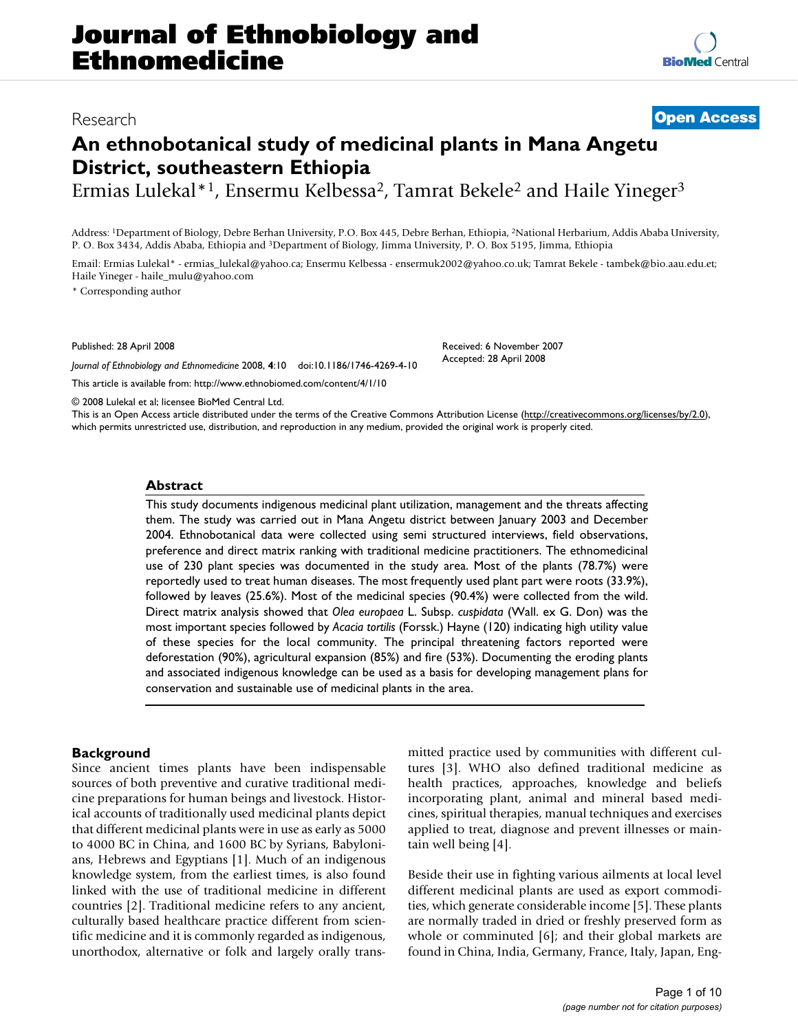# **An ethnobotanical study of medicinal plants in Mana Angetu District, southeastern Ethiopia**

Ermias Lulekal\*1, Ensermu Kelbessa2, Tamrat Bekele2 and Haile Yineger3

Address: 1Department of Biology, Debre Berhan University, P.O. Box 445, Debre Berhan, Ethiopia, 2National Herbarium, Addis Ababa University, P. O. Box 3434, Addis Ababa, Ethiopia and 3Department of Biology, Jimma University, P. O. Box 5195, Jimma, Ethiopia

Email: Ermias Lulekal\* - ermias\_lulekal@yahoo.ca; Ensermu Kelbessa - ensermuk2002@yahoo.co.uk; Tamrat Bekele - tambek@bio.aau.edu.et; Haile Yineger - haile\_mulu@yahoo.com

\* Corresponding author

Published: 28 April 2008

*Journal of Ethnobiology and Ethnomedicine* 2008, **4**:10 doi:10.1186/1746-4269-4-10

[This article is available from: http://www.ethnobiomed.com/content/4/1/10](http://www.ethnobiomed.com/content/4/1/10)

© 2008 Lulekal et al; licensee BioMed Central Ltd.

This is an Open Access article distributed under the terms of the Creative Commons Attribution License [\(http://creativecommons.org/licenses/by/2.0\)](http://creativecommons.org/licenses/by/2.0), which permits unrestricted use, distribution, and reproduction in any medium, provided the original work is properly cited.

#### **Abstract**

This study documents indigenous medicinal plant utilization, management and the threats affecting them. The study was carried out in Mana Angetu district between January 2003 and December 2004. Ethnobotanical data were collected using semi structured interviews, field observations, preference and direct matrix ranking with traditional medicine practitioners. The ethnomedicinal use of 230 plant species was documented in the study area. Most of the plants (78.7%) were reportedly used to treat human diseases. The most frequently used plant part were roots (33.9%), followed by leaves (25.6%). Most of the medicinal species (90.4%) were collected from the wild. Direct matrix analysis showed that *Olea europaea* L. Subsp. *cuspidata* (Wall. ex G. Don) was the most important species followed by *Acacia tortilis* (Forssk.) Hayne (120) indicating high utility value of these species for the local community. The principal threatening factors reported were deforestation (90%), agricultural expansion (85%) and fire (53%). Documenting the eroding plants and associated indigenous knowledge can be used as a basis for developing management plans for conservation and sustainable use of medicinal plants in the area.

countries [2]. Traditional medicine refers to any ancient, culturally based healthcare practice different from scientific medicine and it is commonly regarded as indigenous, unorthodox, alternative or folk and largely orally transmitted practice used by communities with different cultures [3]. WHO also defined traditional medicine as health practices, approaches, knowledge and beliefs incorporating plant, animal and mineral based medicines, spiritual therapies, manual techniques and exercises applied to treat, diagnose and prevent illnesses or maintain well being [4].

Beside their use in fighting various ailments at local level different medicinal plants are used as export commodities, which generate considerable income [5]. These plants are normally traded in dried or freshly preserved form as whole or comminuted [6]; and their global markets are found in China, India, Germany, France, Italy, Japan, Eng-

Received: 6 November 2007 Accepted: 28 April 2008

**Background** Since ancient times plants have been indispensable sources of both preventive and curative traditional medicine preparations for human beings and livestock. Historical accounts of traditionally used medicinal plants depict that different medicinal plants were in use as early as 5000 to 4000 BC in China, and 1600 BC by Syrians, Babylonians, Hebrews and Egyptians [1]. Much of an indigenous knowledge system, from the earliest times, is also found linked with the use of traditional medicine in different

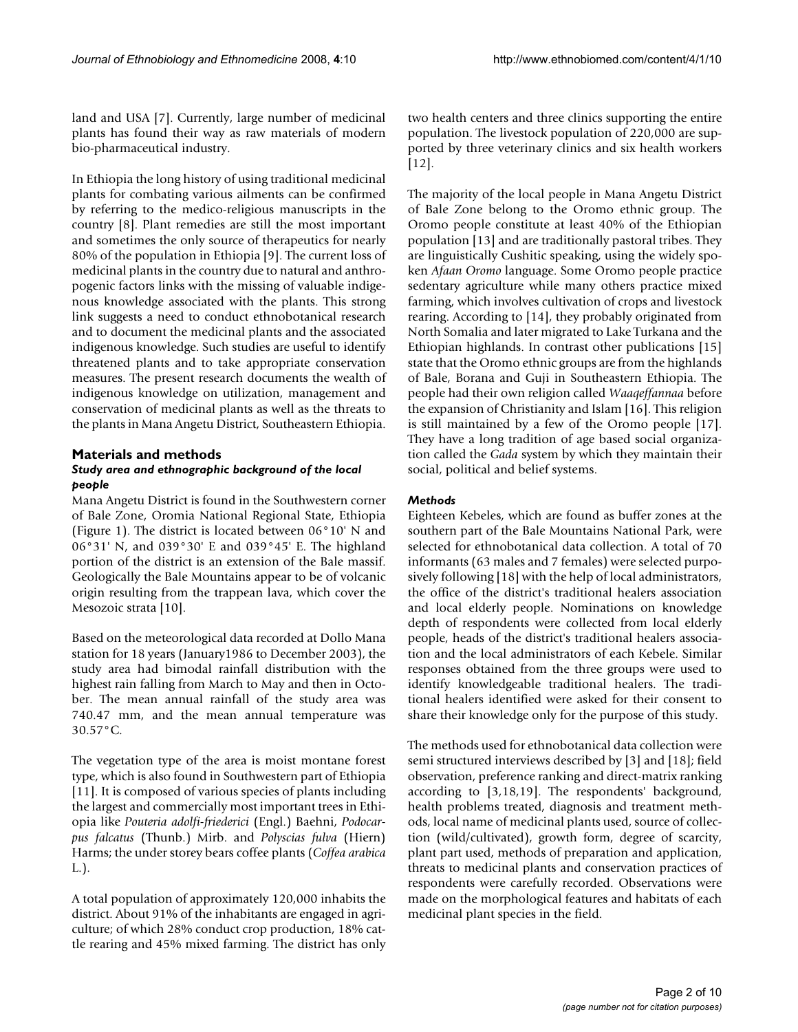land and USA [7]. Currently, large number of medicinal plants has found their way as raw materials of modern bio-pharmaceutical industry.

In Ethiopia the long history of using traditional medicinal plants for combating various ailments can be confirmed by referring to the medico-religious manuscripts in the country [8]. Plant remedies are still the most important and sometimes the only source of therapeutics for nearly 80% of the population in Ethiopia [9]. The current loss of medicinal plants in the country due to natural and anthropogenic factors links with the missing of valuable indigenous knowledge associated with the plants. This strong link suggests a need to conduct ethnobotanical research and to document the medicinal plants and the associated indigenous knowledge. Such studies are useful to identify threatened plants and to take appropriate conservation measures. The present research documents the wealth of indigenous knowledge on utilization, management and conservation of medicinal plants as well as the threats to the plants in Mana Angetu District, Southeastern Ethiopia.

# **Materials and methods** *Study area and ethnographic background of the local people*

Mana Angetu District is found in the Southwestern corner of Bale Zone, Oromia National Regional State, Ethiopia (Figure 1). The district is located between 06°10' N and 06°31' N, and 039°30' E and 039°45' E. The highland portion of the district is an extension of the Bale massif. Geologically the Bale Mountains appear to be of volcanic origin resulting from the trappean lava, which cover the Mesozoic strata [10].

Based on the meteorological data recorded at Dollo Mana station for 18 years (January1986 to December 2003), the study area had bimodal rainfall distribution with the highest rain falling from March to May and then in October. The mean annual rainfall of the study area was 740.47 mm, and the mean annual temperature was 30.57°C.

The vegetation type of the area is moist montane forest type, which is also found in Southwestern part of Ethiopia [11]. It is composed of various species of plants including the largest and commercially most important trees in Ethiopia like *Pouteria adolfi-friederici* (Engl.) Baehni, *Podocarpus falcatus* (Thunb.) Mirb. and *Polyscias fulva* (Hiern) Harms; the under storey bears coffee plants (*Coffea arabica* L.).

A total population of approximately 120,000 inhabits the district. About 91% of the inhabitants are engaged in agriculture; of which 28% conduct crop production, 18% cattle rearing and 45% mixed farming. The district has only two health centers and three clinics supporting the entire population. The livestock population of 220,000 are supported by three veterinary clinics and six health workers [12].

The majority of the local people in Mana Angetu District of Bale Zone belong to the Oromo ethnic group. The Oromo people constitute at least 40% of the Ethiopian population [13] and are traditionally pastoral tribes. They are linguistically Cushitic speaking, using the widely spoken *Afaan Oromo* language. Some Oromo people practice sedentary agriculture while many others practice mixed farming, which involves cultivation of crops and livestock rearing. According to [14], they probably originated from North Somalia and later migrated to Lake Turkana and the Ethiopian highlands. In contrast other publications [15] state that the Oromo ethnic groups are from the highlands of Bale, Borana and Guji in Southeastern Ethiopia. The people had their own religion called *Waaqeffannaa* before the expansion of Christianity and Islam [16]. This religion is still maintained by a few of the Oromo people [17]. They have a long tradition of age based social organization called the *Gada* system by which they maintain their social, political and belief systems.

# *Methods*

Eighteen Kebeles, which are found as buffer zones at the southern part of the Bale Mountains National Park, were selected for ethnobotanical data collection. A total of 70 informants (63 males and 7 females) were selected purposively following [18] with the help of local administrators, the office of the district's traditional healers association and local elderly people. Nominations on knowledge depth of respondents were collected from local elderly people, heads of the district's traditional healers association and the local administrators of each Kebele. Similar responses obtained from the three groups were used to identify knowledgeable traditional healers. The traditional healers identified were asked for their consent to share their knowledge only for the purpose of this study.

The methods used for ethnobotanical data collection were semi structured interviews described by [3] and [18]; field observation, preference ranking and direct-matrix ranking according to [3,18,19]. The respondents' background, health problems treated, diagnosis and treatment methods, local name of medicinal plants used, source of collection (wild/cultivated), growth form, degree of scarcity, plant part used, methods of preparation and application, threats to medicinal plants and conservation practices of respondents were carefully recorded. Observations were made on the morphological features and habitats of each medicinal plant species in the field.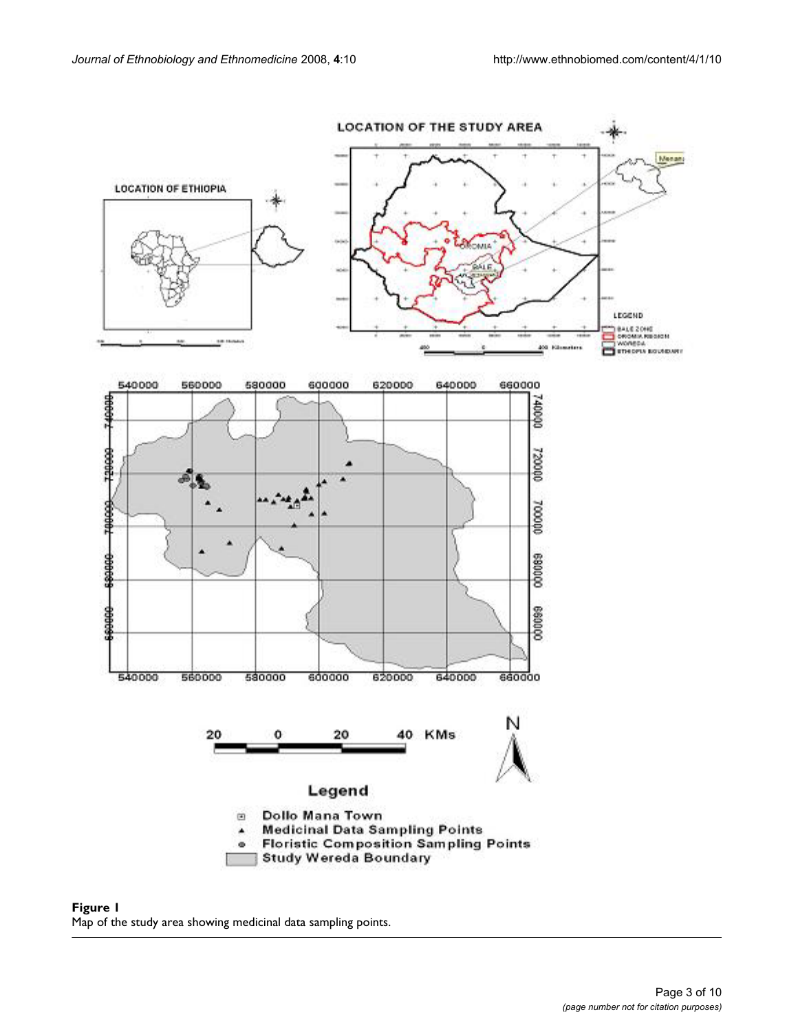

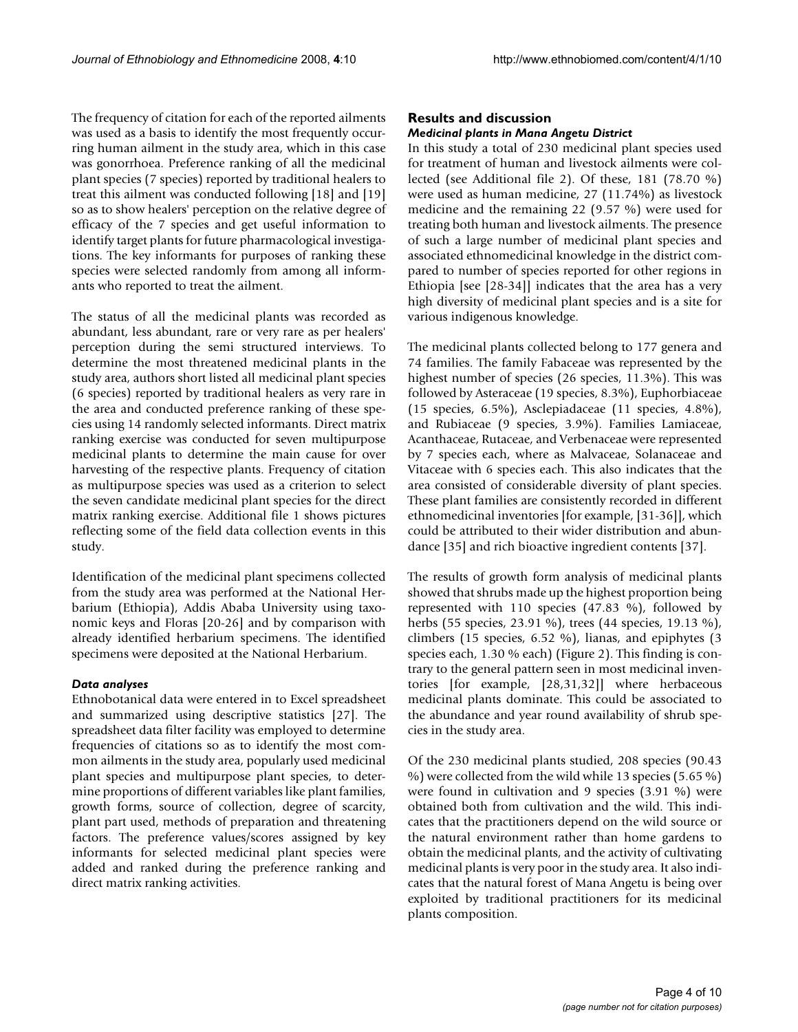The frequency of citation for each of the reported ailments was used as a basis to identify the most frequently occurring human ailment in the study area, which in this case was gonorrhoea. Preference ranking of all the medicinal plant species (7 species) reported by traditional healers to treat this ailment was conducted following [18] and [19] so as to show healers' perception on the relative degree of efficacy of the 7 species and get useful information to identify target plants for future pharmacological investigations. The key informants for purposes of ranking these species were selected randomly from among all informants who reported to treat the ailment.

The status of all the medicinal plants was recorded as abundant, less abundant, rare or very rare as per healers' perception during the semi structured interviews. To determine the most threatened medicinal plants in the study area, authors short listed all medicinal plant species (6 species) reported by traditional healers as very rare in the area and conducted preference ranking of these species using 14 randomly selected informants. Direct matrix ranking exercise was conducted for seven multipurpose medicinal plants to determine the main cause for over harvesting of the respective plants. Frequency of citation as multipurpose species was used as a criterion to select the seven candidate medicinal plant species for the direct matrix ranking exercise. Additional file 1 shows pictures reflecting some of the field data collection events in this study.

Identification of the medicinal plant specimens collected from the study area was performed at the National Herbarium (Ethiopia), Addis Ababa University using taxonomic keys and Floras [20-26] and by comparison with already identified herbarium specimens. The identified specimens were deposited at the National Herbarium.

### *Data analyses*

Ethnobotanical data were entered in to Excel spreadsheet and summarized using descriptive statistics [27]. The spreadsheet data filter facility was employed to determine frequencies of citations so as to identify the most common ailments in the study area, popularly used medicinal plant species and multipurpose plant species, to determine proportions of different variables like plant families, growth forms, source of collection, degree of scarcity, plant part used, methods of preparation and threatening factors. The preference values/scores assigned by key informants for selected medicinal plant species were added and ranked during the preference ranking and direct matrix ranking activities.

## **Results and discussion** *Medicinal plants in Mana Angetu District*

In this study a total of 230 medicinal plant species used for treatment of human and livestock ailments were collected (see Additional file 2). Of these, 181 (78.70 %) were used as human medicine, 27 (11.74%) as livestock medicine and the remaining 22 (9.57 %) were used for treating both human and livestock ailments. The presence of such a large number of medicinal plant species and associated ethnomedicinal knowledge in the district compared to number of species reported for other regions in Ethiopia [see [28-34]] indicates that the area has a very high diversity of medicinal plant species and is a site for various indigenous knowledge.

The medicinal plants collected belong to 177 genera and 74 families. The family Fabaceae was represented by the highest number of species (26 species, 11.3%). This was followed by Asteraceae (19 species, 8.3%), Euphorbiaceae (15 species, 6.5%), Asclepiadaceae (11 species, 4.8%), and Rubiaceae (9 species, 3.9%). Families Lamiaceae, Acanthaceae, Rutaceae, and Verbenaceae were represented by 7 species each, where as Malvaceae, Solanaceae and Vitaceae with 6 species each. This also indicates that the area consisted of considerable diversity of plant species. These plant families are consistently recorded in different ethnomedicinal inventories [for example, [31-36]], which could be attributed to their wider distribution and abundance [35] and rich bioactive ingredient contents [37].

The results of growth form analysis of medicinal plants showed that shrubs made up the highest proportion being represented with 110 species (47.83 %), followed by herbs (55 species, 23.91 %), trees (44 species, 19.13 %), climbers (15 species, 6.52 %), lianas, and epiphytes (3 species each, 1.30 % each) (Figure 2). This finding is contrary to the general pattern seen in most medicinal inventories [for example, [28,31,32]] where herbaceous medicinal plants dominate. This could be associated to the abundance and year round availability of shrub species in the study area.

Of the 230 medicinal plants studied, 208 species (90.43 %) were collected from the wild while 13 species (5.65 %) were found in cultivation and 9 species (3.91 %) were obtained both from cultivation and the wild. This indicates that the practitioners depend on the wild source or the natural environment rather than home gardens to obtain the medicinal plants, and the activity of cultivating medicinal plants is very poor in the study area. It also indicates that the natural forest of Mana Angetu is being over exploited by traditional practitioners for its medicinal plants composition.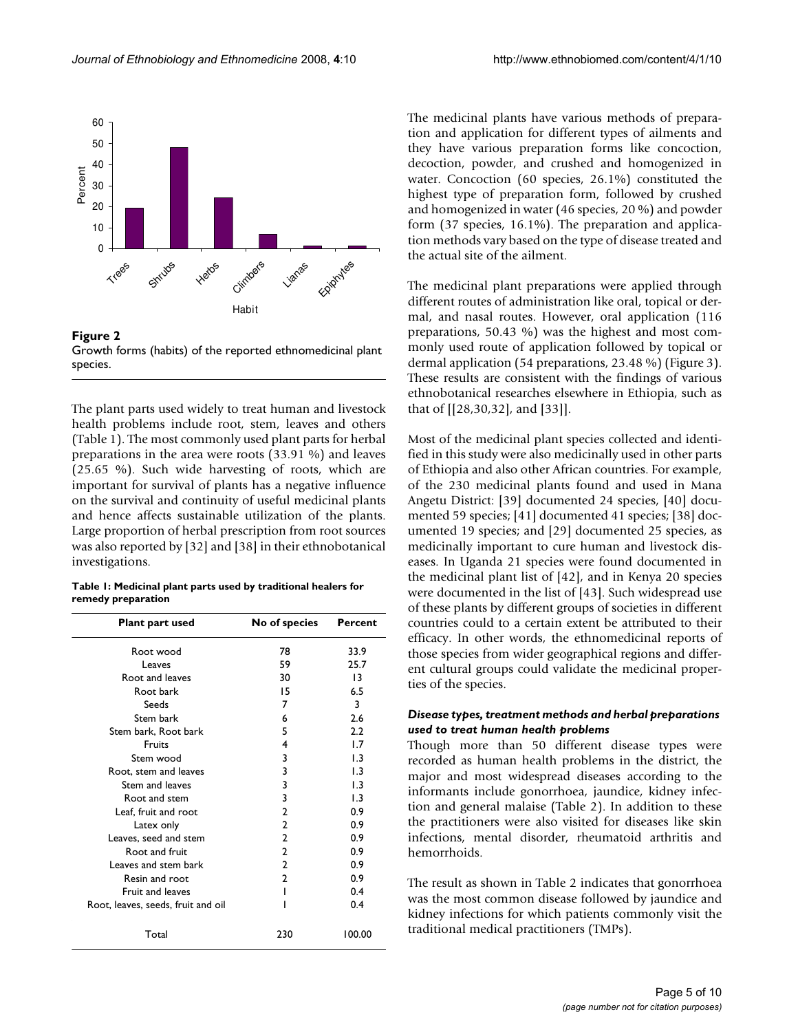



The plant parts used widely to treat human and livestock health problems include root, stem, leaves and others (Table 1). The most commonly used plant parts for herbal preparations in the area were roots (33.91 %) and leaves (25.65 %). Such wide harvesting of roots, which are important for survival of plants has a negative influence on the survival and continuity of useful medicinal plants and hence affects sustainable utilization of the plants. Large proportion of herbal prescription from root sources was also reported by [32] and [38] in their ethnobotanical investigations.

|                    | Table 1: Medicinal plant parts used by traditional healers for |
|--------------------|----------------------------------------------------------------|
| remedy preparation |                                                                |

| Plant part used                    | No of species  | Percent |
|------------------------------------|----------------|---------|
| Root wood                          | 78             | 33.9    |
| Leaves                             | 59             | 25.7    |
| Root and leaves                    | 30             | 13      |
| Root bark                          | 15             | 6.5     |
| Seeds                              | 7              | 3       |
| Stem bark                          | 6              | 2.6     |
| Stem bark, Root bark               | 5              | 2.2     |
| Fruits                             | 4              | 1.7     |
| Stem wood                          | 3              | 1.3     |
| Root, stem and leaves              | 3              | 1.3     |
| Stem and leaves                    | 3              | 1.3     |
| Root and stem                      | 3              | 1.3     |
| Leaf, fruit and root               | 2              | 0.9     |
| Latex only                         | $\overline{2}$ | 0.9     |
| Leaves, seed and stem              | 2              | 0.9     |
| Root and fruit                     | $\overline{2}$ | 0.9     |
| Leaves and stem bark               | $\overline{2}$ | 0.9     |
| Resin and root                     | $\overline{2}$ | 0.9     |
| Fruit and leaves                   |                | 0.4     |
| Root, leaves, seeds, fruit and oil |                | 0.4     |
| Total                              | 230            | 100.00  |

The medicinal plants have various methods of preparation and application for different types of ailments and they have various preparation forms like concoction, decoction, powder, and crushed and homogenized in water. Concoction (60 species, 26.1%) constituted the highest type of preparation form, followed by crushed and homogenized in water (46 species, 20 %) and powder form (37 species, 16.1%). The preparation and application methods vary based on the type of disease treated and the actual site of the ailment.

The medicinal plant preparations were applied through different routes of administration like oral, topical or dermal, and nasal routes. However, oral application (116 preparations, 50.43 %) was the highest and most commonly used route of application followed by topical or dermal application (54 preparations, 23.48 %) (Figure 3). These results are consistent with the findings of various ethnobotanical researches elsewhere in Ethiopia, such as that of [[28,30,32], and [33]].

Most of the medicinal plant species collected and identified in this study were also medicinally used in other parts of Ethiopia and also other African countries. For example, of the 230 medicinal plants found and used in Mana Angetu District: [39] documented 24 species, [40] documented 59 species; [41] documented 41 species; [38] documented 19 species; and [29] documented 25 species, as medicinally important to cure human and livestock diseases. In Uganda 21 species were found documented in the medicinal plant list of [42], and in Kenya 20 species were documented in the list of [43]. Such widespread use of these plants by different groups of societies in different countries could to a certain extent be attributed to their efficacy. In other words, the ethnomedicinal reports of those species from wider geographical regions and different cultural groups could validate the medicinal properties of the species.

# *Disease types, treatment methods and herbal preparations used to treat human health problems*

Though more than 50 different disease types were recorded as human health problems in the district, the major and most widespread diseases according to the informants include gonorrhoea, jaundice, kidney infection and general malaise (Table 2). In addition to these the practitioners were also visited for diseases like skin infections, mental disorder, rheumatoid arthritis and hemorrhoids.

The result as shown in Table 2 indicates that gonorrhoea was the most common disease followed by jaundice and kidney infections for which patients commonly visit the traditional medical practitioners (TMPs).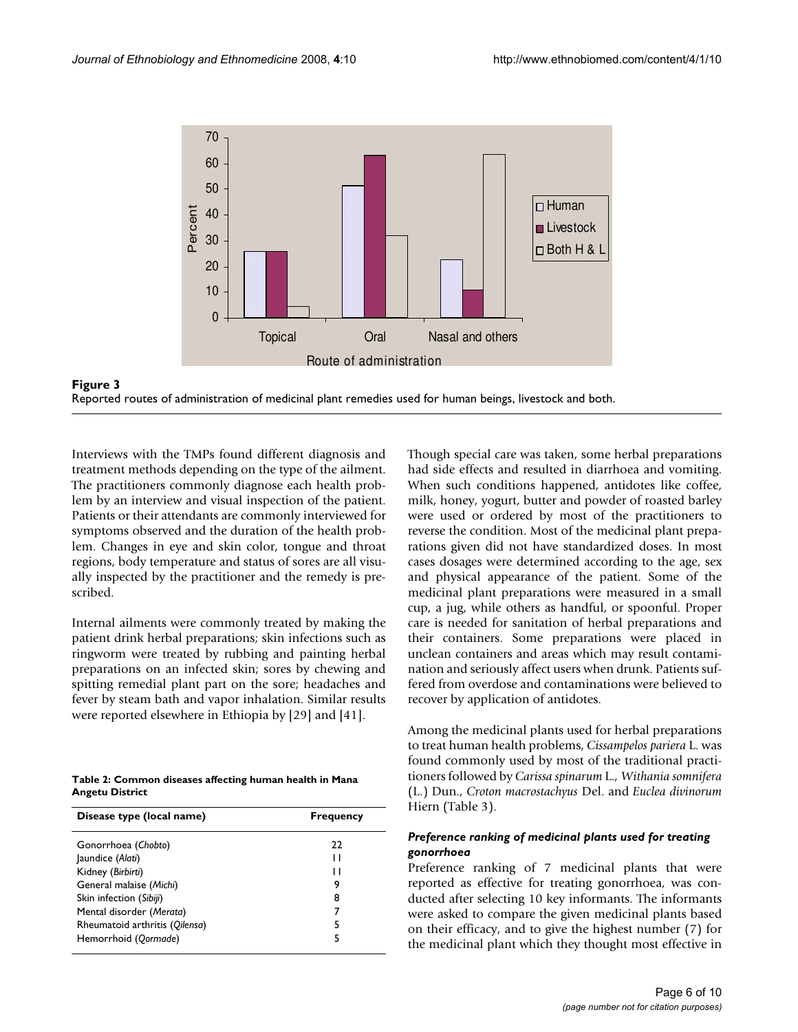



Interviews with the TMPs found different diagnosis and treatment methods depending on the type of the ailment. The practitioners commonly diagnose each health problem by an interview and visual inspection of the patient. Patients or their attendants are commonly interviewed for symptoms observed and the duration of the health problem. Changes in eye and skin color, tongue and throat regions, body temperature and status of sores are all visually inspected by the practitioner and the remedy is prescribed.

Internal ailments were commonly treated by making the patient drink herbal preparations; skin infections such as ringworm were treated by rubbing and painting herbal preparations on an infected skin; sores by chewing and spitting remedial plant part on the sore; headaches and fever by steam bath and vapor inhalation. Similar results were reported elsewhere in Ethiopia by [29] and [41].

| Table 2: Common diseases affecting human health in Mana |  |
|---------------------------------------------------------|--|
| Angetu District                                         |  |

| Disease type (local name)      | <b>Frequency</b> |
|--------------------------------|------------------|
| Gonorrhoea (Chobto)            | 22               |
| Jaundice (Alati)               | н                |
| Kidney (Birbirti)              | н                |
| General malaise (Michi)        | 9                |
| Skin infection (Sibiji)        | 8                |
| Mental disorder (Merata)       |                  |
| Rheumatoid arthritis (Qilensa) | 5                |
| Hemorrhoid (Qormade)           | 5                |
|                                |                  |

Though special care was taken, some herbal preparations had side effects and resulted in diarrhoea and vomiting. When such conditions happened, antidotes like coffee, milk, honey, yogurt, butter and powder of roasted barley were used or ordered by most of the practitioners to reverse the condition. Most of the medicinal plant preparations given did not have standardized doses. In most cases dosages were determined according to the age, sex and physical appearance of the patient. Some of the medicinal plant preparations were measured in a small cup, a jug, while others as handful, or spoonful. Proper care is needed for sanitation of herbal preparations and their containers. Some preparations were placed in unclean containers and areas which may result contamination and seriously affect users when drunk. Patients suffered from overdose and contaminations were believed to recover by application of antidotes.

Among the medicinal plants used for herbal preparations to treat human health problems, *Cissampelos pariera* L. was found commonly used by most of the traditional practitioners followed by *Carissa spinarum* L.*, Withania somnifera* (L.) Dun., *Croton macrostachyus* Del. and *Euclea divinorum* Hiern (Table 3).

# *Preference ranking of medicinal plants used for treating gonorrhoea*

Preference ranking of 7 medicinal plants that were reported as effective for treating gonorrhoea, was conducted after selecting 10 key informants. The informants were asked to compare the given medicinal plants based on their efficacy, and to give the highest number (7) for the medicinal plant which they thought most effective in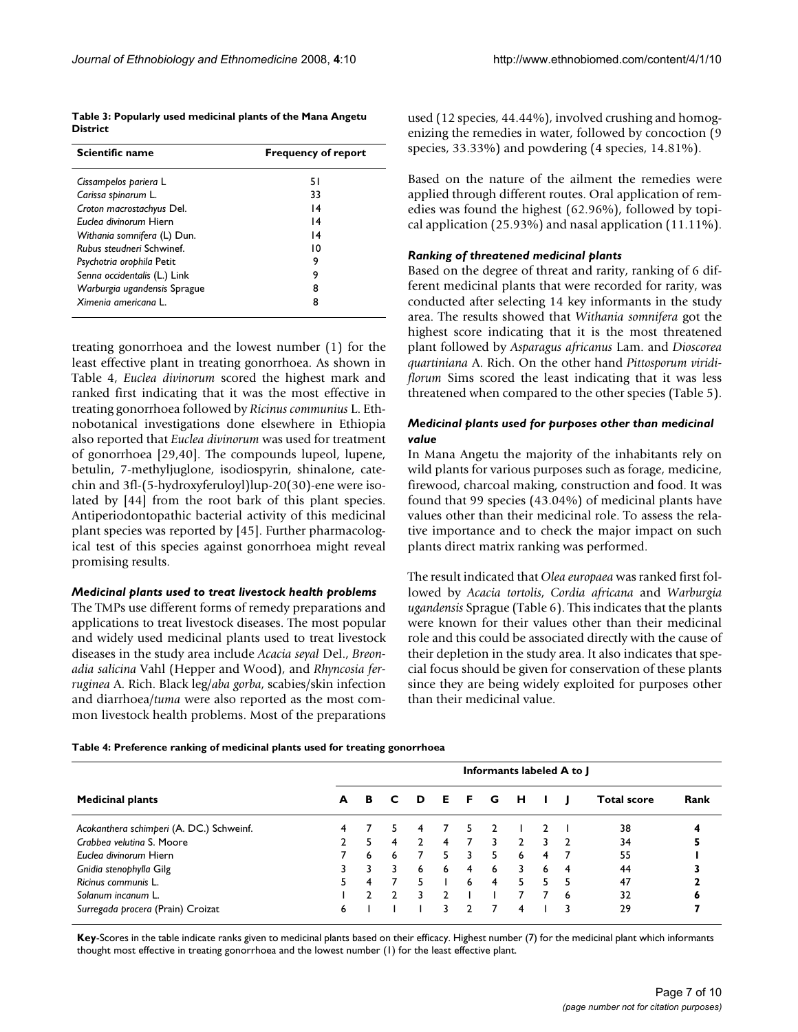| Table 3: Popularly used medicinal plants of the Mana Angetu |  |
|-------------------------------------------------------------|--|
| <b>District</b>                                             |  |

| Scientific name                  | <b>Frequency of report</b> |
|----------------------------------|----------------------------|
| Cissampelos pariera L            | 51                         |
| Carissa spinarum L.              | 33                         |
| Croton macrostachyus Del.        | $\overline{14}$            |
| Euclea divinorum Hiern           | $\overline{14}$            |
| Withania somnifera (L) Dun.      | $\overline{14}$            |
| <b>Rubus steudneri Schwinef.</b> | 10                         |
| Psychotria orophila Petit        | 9                          |
| Senna occidentalis (L.) Link     | 9                          |
| Warburgia ugandensis Sprague     | 8                          |
| Ximenia americana L.             | 8                          |

treating gonorrhoea and the lowest number (1) for the least effective plant in treating gonorrhoea. As shown in Table 4, *Euclea divinorum* scored the highest mark and ranked first indicating that it was the most effective in treating gonorrhoea followed by *Ricinus communius* L. Ethnobotanical investigations done elsewhere in Ethiopia also reported that *Euclea divinorum* was used for treatment of gonorrhoea [29,40]. The compounds lupeol, lupene, betulin, 7-methyljuglone, isodiospyrin, shinalone, catechin and 3fl-(5-hydroxyferuloyl)lup-20(30)-ene were isolated by [44] from the root bark of this plant species. Antiperiodontopathic bacterial activity of this medicinal plant species was reported by [45]. Further pharmacological test of this species against gonorrhoea might reveal promising results.

### *Medicinal plants used to treat livestock health problems*

The TMPs use different forms of remedy preparations and applications to treat livestock diseases. The most popular and widely used medicinal plants used to treat livestock diseases in the study area include *Acacia seyal* Del., *Breonadia salicina* Vahl (Hepper and Wood), and *Rhyncosia ferruginea* A. Rich. Black leg/*aba gorba*, scabies/skin infection and diarrhoea/*tuma* were also reported as the most common livestock health problems. Most of the preparations

used (12 species, 44.44%), involved crushing and homogenizing the remedies in water, followed by concoction (9 species, 33.33%) and powdering (4 species, 14.81%).

Based on the nature of the ailment the remedies were applied through different routes. Oral application of remedies was found the highest (62.96%), followed by topical application (25.93%) and nasal application (11.11%).

## *Ranking of threatened medicinal plants*

Based on the degree of threat and rarity, ranking of 6 different medicinal plants that were recorded for rarity, was conducted after selecting 14 key informants in the study area. The results showed that *Withania somnifera* got the highest score indicating that it is the most threatened plant followed by *Asparagus africanus* Lam. and *Dioscorea quartiniana* A. Rich. On the other hand *Pittosporum viridiflorum* Sims scored the least indicating that it was less threatened when compared to the other species (Table 5).

# *Medicinal plants used for purposes other than medicinal value*

In Mana Angetu the majority of the inhabitants rely on wild plants for various purposes such as forage, medicine, firewood, charcoal making, construction and food. It was found that 99 species (43.04%) of medicinal plants have values other than their medicinal role. To assess the relative importance and to check the major impact on such plants direct matrix ranking was performed.

The result indicated that *Olea europaea* was ranked first followed by *Acacia tortolis*, *Cordia africana* and *Warburgia ugandensis* Sprague (Table 6). This indicates that the plants were known for their values other than their medicinal role and this could be associated directly with the cause of their depletion in the study area. It also indicates that special focus should be given for conservation of these plants since they are being widely exploited for purposes other than their medicinal value.

|                                          | Informants labeled A to J |    |   |    |          |       |   |               |   |   |                    |      |
|------------------------------------------|---------------------------|----|---|----|----------|-------|---|---------------|---|---|--------------------|------|
| <b>Medicinal plants</b>                  | A                         | в  | C | D  | <b>E</b> | - F - | G | н             |   |   | <b>Total score</b> | Rank |
| Acokanthera schimperi (A. DC.) Schweinf. |                           |    |   | 4  |          | 5.    |   |               |   |   | 38                 |      |
| Crabbea velutina S. Moore                |                           | 5. | 4 |    | 4        | 7     | 3 | $\mathcal{P}$ | 3 |   | 34                 |      |
| Euclea divinorum Hiern                   |                           | 6  | 6 |    | 5.       | 3     | 5 | 6             | 4 |   | 55                 |      |
| Gnidia stenophylla Gilg                  |                           |    |   | 6  | 6        | 4     | 6 | 3             | 6 | 4 | 44                 |      |
| Ricinus communis L.                      |                           | 4  |   | 5. |          | 6     | 4 | 5.            | 5 |   | 47                 |      |
| Solanum incanum L.                       |                           |    |   |    |          |       |   |               |   | 6 | 32                 | ь    |
| Surregada procera (Prain) Croizat        | 6                         |    |   |    | 3.       | י.    |   | 4             |   |   | 29                 |      |

**Key**-Scores in the table indicate ranks given to medicinal plants based on their efficacy. Highest number (7) for the medicinal plant which informants thought most effective in treating gonorrhoea and the lowest number (1) for the least effective plant.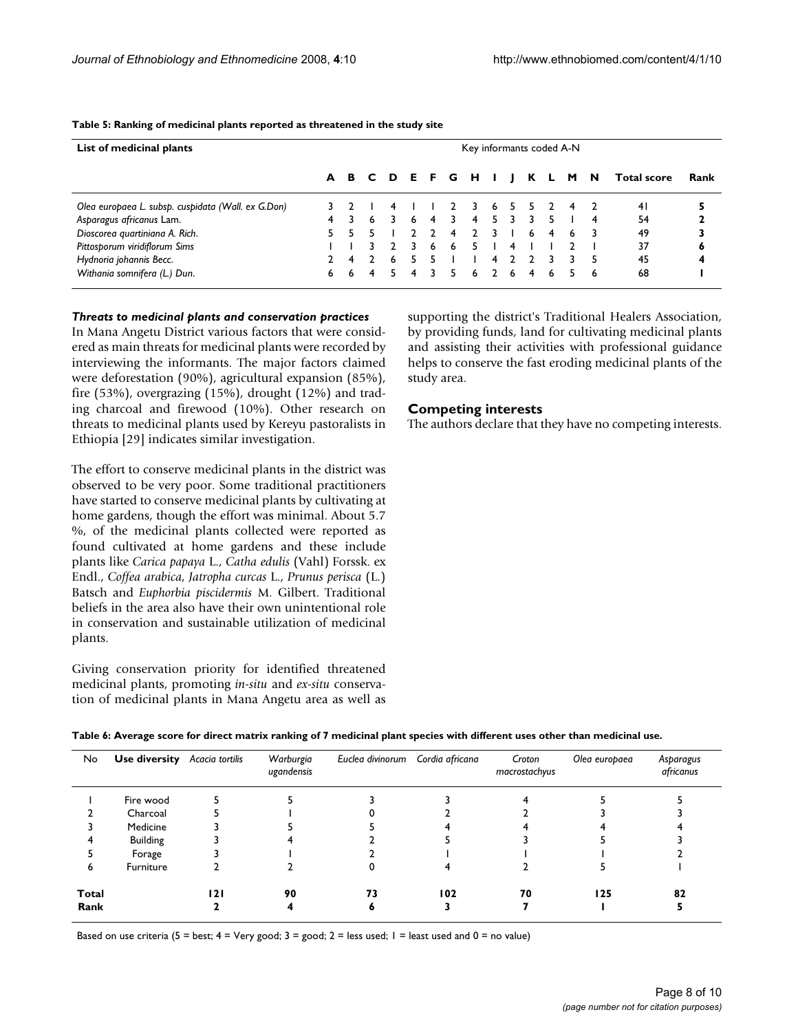| List of medicinal plants                           | Key informants coded A-N |   |    |                   |   |   |    |    |                |   |   |   |   |     |                    |      |
|----------------------------------------------------|--------------------------|---|----|-------------------|---|---|----|----|----------------|---|---|---|---|-----|--------------------|------|
|                                                    |                          |   |    | A B C D E F G H I |   |   |    |    |                |   | K |   | M | - N | <b>Total score</b> | Rank |
| Olea europaea L. subsp. cuspidata (Wall. ex G.Don) |                          |   |    |                   |   |   |    |    |                |   |   |   | 4 |     | 41                 |      |
| Asparagus africanus Lam.                           | 4                        |   | 6  |                   | 6 | 4 |    | 4  | 5.             |   |   |   |   |     | 54                 |      |
| Dioscorea quartiniana A. Rich.                     | 5.                       |   | 5. |                   |   |   | -4 |    | २              |   | 6 | 4 | 6 |     | 49                 |      |
| Pittosporum viridiflorum Sims                      |                          |   |    |                   |   | 6 | 6  |    |                | 4 |   |   |   |     | 37                 | ۰    |
| Hydnoria johannis Becc.                            |                          | 4 |    | 6                 |   |   |    |    | 4              |   |   |   |   |     | 45                 | 4    |
| Withania somnifera (L.) Dun.                       | 6                        | 6 | 4  |                   | 4 | 3 |    | -6 | $\overline{2}$ | 6 | 4 | 6 | 5 | 6   | 68                 |      |

#### **Table 5: Ranking of medicinal plants reported as threatened in the study site**

### *Threats to medicinal plants and conservation practices*

In Mana Angetu District various factors that were considered as main threats for medicinal plants were recorded by interviewing the informants. The major factors claimed were deforestation (90%), agricultural expansion (85%), fire (53%), overgrazing (15%), drought (12%) and trading charcoal and firewood (10%). Other research on threats to medicinal plants used by Kereyu pastoralists in Ethiopia [29] indicates similar investigation.

The effort to conserve medicinal plants in the district was observed to be very poor. Some traditional practitioners have started to conserve medicinal plants by cultivating at home gardens, though the effort was minimal. About 5.7 %, of the medicinal plants collected were reported as found cultivated at home gardens and these include plants like *Carica papaya* L., *Catha edulis* (Vahl) Forssk. ex Endl., *Coffea arabica*, *Jatropha curcas* L., *Prunus perisca* (L.) Batsch and *Euphorbia piscidermis* M. Gilbert. Traditional beliefs in the area also have their own unintentional role in conservation and sustainable utilization of medicinal plants.

Giving conservation priority for identified threatened medicinal plants, promoting *in-situ* and *ex-situ* conservation of medicinal plants in Mana Angetu area as well as supporting the district's Traditional Healers Association, by providing funds, land for cultivating medicinal plants and assisting their activities with professional guidance helps to conserve the fast eroding medicinal plants of the study area.

# **Competing interests**

The authors declare that they have no competing interests.

| Table 6: Average score for direct matrix ranking of 7 medicinal plant species with different uses other than medicinal use. |  |  |
|-----------------------------------------------------------------------------------------------------------------------------|--|--|
|                                                                                                                             |  |  |

| No.           | <b>Use diversity</b> Acacia tortilis |     | Warburgia<br>ugandensis | Euclea divinorum Cordia africana |     | Croton<br>macrostachyus | Olea europaea | Asparagus<br>africanus |
|---------------|--------------------------------------|-----|-------------------------|----------------------------------|-----|-------------------------|---------------|------------------------|
|               | Fire wood                            |     |                         |                                  |     |                         |               |                        |
|               | Charcoal                             |     |                         |                                  |     |                         |               |                        |
|               | Medicine                             |     |                         |                                  |     |                         |               |                        |
|               | Building                             |     |                         |                                  |     |                         |               |                        |
|               | Forage                               |     |                         |                                  |     |                         |               |                        |
| n             | Furniture                            |     |                         |                                  |     |                         |               |                        |
| Total<br>Rank |                                      | 121 | 90                      | 73                               | 102 | 70                      | 125           | 82                     |

Based on use criteria (5 = best;  $4 = \text{Very good}$ ;  $3 = \text{good}$ ;  $2 = \text{less used}$ ;  $1 = \text{least used}$  and  $0 = \text{no value}$ )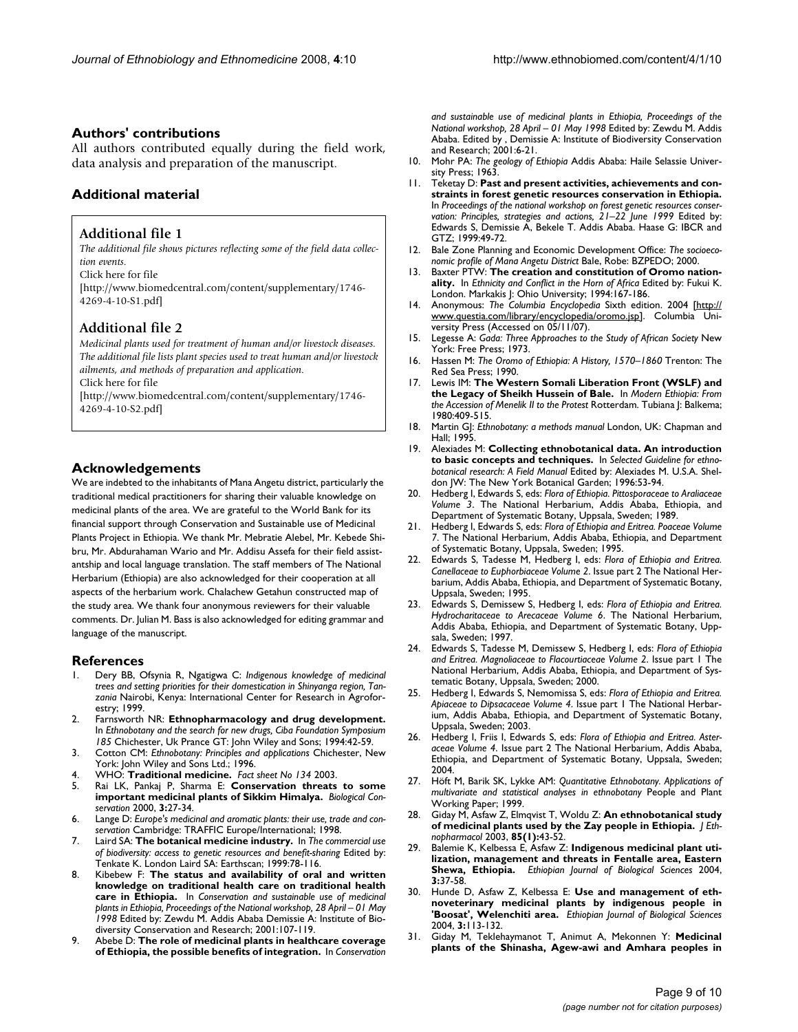# **Authors' contributions**

All authors contributed equally during the field work, data analysis and preparation of the manuscript.

# **Additional material**

# **Additional file 1**

*The additional file shows pictures reflecting some of the field data collection events.*

Click here for file

[\[http://www.biomedcentral.com/content/supplementary/1746-](http://www.biomedcentral.com/content/supplementary/1746-4269-4-10-S1.pdf) 4269-4-10-S1.pdf]

# **Additional file 2**

*Medicinal plants used for treatment of human and/or livestock diseases. The additional file lists plant species used to treat human and/or livestock ailments, and methods of preparation and application.* Click here for file

[\[http://www.biomedcentral.com/content/supplementary/1746-](http://www.biomedcentral.com/content/supplementary/1746-4269-4-10-S2.pdf) 4269-4-10-S2.pdf]

# **Acknowledgements**

We are indebted to the inhabitants of Mana Angetu district, particularly the traditional medical practitioners for sharing their valuable knowledge on medicinal plants of the area. We are grateful to the World Bank for its financial support through Conservation and Sustainable use of Medicinal Plants Project in Ethiopia. We thank Mr. Mebratie Alebel, Mr. Kebede Shibru, Mr. Abdurahaman Wario and Mr. Addisu Assefa for their field assistantship and local language translation. The staff members of The National Herbarium (Ethiopia) are also acknowledged for their cooperation at all aspects of the herbarium work. Chalachew Getahun constructed map of the study area. We thank four anonymous reviewers for their valuable comments. Dr. Julian M. Bass is also acknowledged for editing grammar and language of the manuscript.

# **References**

- 1. Dery BB, Ofsynia R, Ngatigwa C: *Indigenous knowledge of medicinal trees and setting priorities for their domestication in Shinyanga region, Tanzania* Nairobi, Kenya: International Center for Research in Agroforestry; 1999.
- 2. Farnsworth NR: **Ethnopharmacology and drug development.** In *Ethnobotany and the search for new drugs, Ciba Foundation Symposium 185* Chichester, Uk Prance GT: John Wiley and Sons; 1994:42-59.
- 3. Cotton CM: *Ethnobotany: Principles and applications* Chichester, New York: John Wiley and Sons Ltd.; 1996.
- 4. WHO: **Traditional medicine.** *Fact sheet No 134* 2003.
- 5. Rai LK, Pankaj P, Sharma E: **Conservation threats to some important medicinal plants of Sikkim Himalya.** *Biological Conservation* 2000, **3:**27-34.
- 6. Lange D: *Europe's medicinal and aromatic plants: their use, trade and conservation* Cambridge: TRAFFIC Europe/International; 1998.
- 7. Laird SA: **The botanical medicine industry.** In *The commercial use of biodiversity: access to genetic resources and benefit-sharing* Edited by: Tenkate K. London Laird SA: Earthscan; 1999:78-116.
- 8. Kibebew F: **The status and availability of oral and written knowledge on traditional health care on traditional health care in Ethiopia.** In *Conservation and sustainable use of medicinal plants in Ethiopia, Proceedings of the National workshop, 28 April – 01 May 1998* Edited by: Zewdu M. Addis Ababa Demissie A: Institute of Biodiversity Conservation and Research; 2001:107-119.
- 9. Abebe D: **The role of medicinal plants in healthcare coverage of Ethiopia, the possible benefits of integration.** In *Conservation*

*and sustainable use of medicinal plants in Ethiopia, Proceedings of the National workshop, 28 April – 01 May 1998* Edited by: Zewdu M. Addis Ababa. Edited by , Demissie A: Institute of Biodiversity Conservation and Research; 2001:6-21.

- 10. Mohr PA: *The geology of Ethiopia* Addis Ababa: Haile Selassie University Press; 1963.
- 11. Teketay D: **Past and present activities, achievements and constraints in forest genetic resources conservation in Ethiopia.** In *Proceedings of the national workshop on forest genetic resources conservation: Principles, strategies and actions, 21–22 June 1999* Edited by: Edwards S, Demissie A, Bekele T. Addis Ababa. Haase G: IBCR and GTZ; 1999:49-72.
- 12. Bale Zone Planning and Economic Development Office: *The socioeconomic profile of Mana Angetu District* Bale, Robe: BZPEDO; 2000.
- 13. Baxter PTW: **The creation and constitution of Oromo nationality.** In *Ethnicity and Conflict in the Horn of Africa* Edited by: Fukui K. London. Markakis J: Ohio University; 1994:167-186.
- 14. Anonymous: The Columbia Encyclopedia Sixth edition. 2004 [\[http://](http://www.questia.com/library/encyclopedia/oromo.jsp) [www.questia.com/library/encyclopedia/oromo.jsp\]](http://www.questia.com/library/encyclopedia/oromo.jsp). Columbia University Press (Accessed on 05/11/07).
- 15. Legesse A: *Gada: Three Approaches to the Study of African Society* New York: Free Press; 1973.
- 16. Hassen M: *The Oromo of Ethiopia: A History, 1570–1860* Trenton: The Red Sea Press; 1990.
- 17. Lewis IM: **The Western Somali Liberation Front (WSLF) and the Legacy of Sheikh Hussein of Bale.** In *Modern Ethiopia: From the Accession of Menelik II to the Protest* Rotterdam. Tubiana J: Balkema; 1980:409-515.
- 18. Martin GJ: *Ethnobotany: a methods manual* London, UK: Chapman and Hall; 1995.
- 19. Alexiades M: **Collecting ethnobotanical data. An introduction to basic concepts and techniques.** In *Selected Guideline for ethnobotanical research: A Field Manual* Edited by: Alexiades M. U.S.A. Sheldon JW: The New York Botanical Garden; 1996:53-94.
- 20. Hedberg I, Edwards S, eds: *Flora of Ethiopia. Pittosporaceae to Araliaceae Volume 3*. The National Herbarium, Addis Ababa, Ethiopia, and Department of Systematic Botany, Uppsala, Sweden; 1989.
- 21. Hedberg I, Edwards S, eds: *Flora of Ethiopia and Eritrea. Poaceae Volume 7*. The National Herbarium, Addis Ababa, Ethiopia, and Department of Systematic Botany, Uppsala, Sweden; 1995.
- 22. Edwards S, Tadesse M, Hedberg I, eds: *Flora of Ethiopia and Eritrea. Canellaceae to Euphorbiaceae Volume 2*. Issue part 2 The National Herbarium, Addis Ababa, Ethiopia, and Department of Systematic Botany, Uppsala, Sweden; 1995.
- 23. Edwards S, Demissew S, Hedberg I, eds: *Flora of Ethiopia and Eritrea. Hydrocharitaceae to Arecaceae Volume 6*. The National Herbarium, Addis Ababa, Ethiopia, and Department of Systematic Botany, Uppsala, Sweden; 1997.
- 24. Edwards S, Tadesse M, Demissew S, Hedberg I, eds: *Flora of Ethiopia and Eritrea. Magnoliaceae to Flacourtiaceae Volume 2*. Issue part 1 The National Herbarium, Addis Ababa, Ethiopia, and Department of Systematic Botany, Uppsala, Sweden; 2000.
- 25. Hedberg I, Edwards S, Nemomissa S, eds: *Flora of Ethiopia and Eritrea. Apiaceae to Dipsacaceae Volume 4*. Issue part 1 The National Herbarium, Addis Ababa, Ethiopia, and Department of Systematic Botany, Uppsala, Sweden; 2003.
- 26. Hedberg I, Friis I, Edwards S, eds: *Flora of Ethiopia and Eritrea. Asteraceae Volume 4*. Issue part 2 The National Herbarium, Addis Ababa, Ethiopia, and Department of Systematic Botany, Uppsala, Sweden; 2004.
- 27. Höft M, Barik SK, Lykke AM: *Quantitative Ethnobotany. Applications of multivariate and statistical analyses in ethnobotany* People and Plant Working Paper; 1999.
- 28. Giday M, Asfaw Z, Elmqvist T, Woldu Z: **[An ethnobotanical study](http://www.ncbi.nlm.nih.gov/entrez/query.fcgi?cmd=Retrieve&db=PubMed&dopt=Abstract&list_uids=12576201) [of medicinal plants used by the Zay people in Ethiopia.](http://www.ncbi.nlm.nih.gov/entrez/query.fcgi?cmd=Retrieve&db=PubMed&dopt=Abstract&list_uids=12576201)** *J Ethnopharmacol* 2003, **85(1):**43-52.
- 29. Balemie K, Kelbessa E, Asfaw Z: **Indigenous medicinal plant utilization, management and threats in Fentalle area, Eastern Shewa, Ethiopia.** *Ethiopian Journal of Biological Sciences* 2004, **3:**37-58.
- 30. Hunde D, Asfaw Z, Kelbessa E: **Use and management of ethnoveterinary medicinal plants by indigenous people in 'Boosat', Welenchiti area.** *Ethiopian Journal of Biological Sciences* 2004, **3:**113-132.
- 31. Giday M, Teklehaymanot T, Animut A, Mekonnen Y: **[Medicinal](http://www.ncbi.nlm.nih.gov/entrez/query.fcgi?cmd=Retrieve&db=PubMed&dopt=Abstract&list_uids=17101251) [plants of the Shinasha, Agew-awi and Amhara peoples in](http://www.ncbi.nlm.nih.gov/entrez/query.fcgi?cmd=Retrieve&db=PubMed&dopt=Abstract&list_uids=17101251)**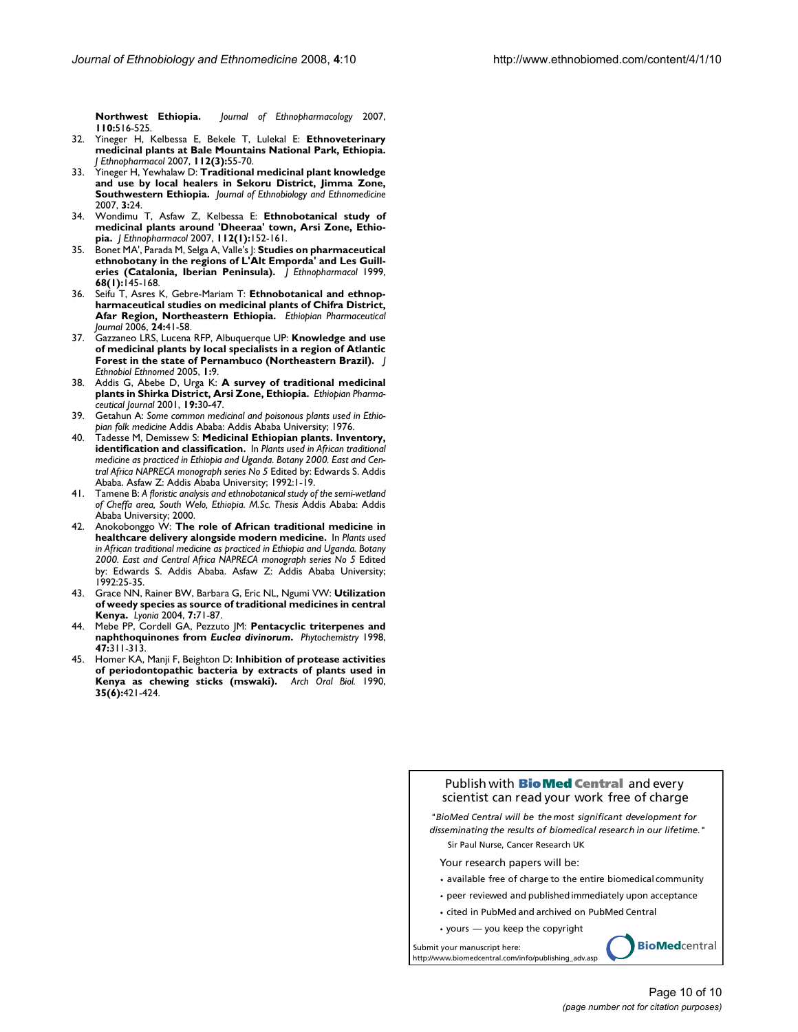**[Northwest Ethiopia.](http://www.ncbi.nlm.nih.gov/entrez/query.fcgi?cmd=Retrieve&db=PubMed&dopt=Abstract&list_uids=17101251)** *Journal of Ethnopharmacology* 2007, **110:**516-525.

- 32. Yineger H, Kelbessa E, Bekele T, Lulekal E: **[Ethnoveterinary](http://www.ncbi.nlm.nih.gov/entrez/query.fcgi?cmd=Retrieve&db=PubMed&dopt=Abstract&list_uids=17368989) [medicinal plants at Bale Mountains National Park, Ethiopia.](http://www.ncbi.nlm.nih.gov/entrez/query.fcgi?cmd=Retrieve&db=PubMed&dopt=Abstract&list_uids=17368989)** *J Ethnopharmacol* 2007, **112(3):**55-70.
- 33. Yineger H, Yewhalaw D: **Traditional medicinal plant knowledge and use by local healers in Sekoru District, Jimma Zone, Southwestern Ethiopia.** *Journal of Ethnobiology and Ethnomedicine* 2007, **3:**24.
- 34. Wondimu T, Asfaw Z, Kelbessa E: **[Ethnobotanical study of](http://www.ncbi.nlm.nih.gov/entrez/query.fcgi?cmd=Retrieve&db=PubMed&dopt=Abstract&list_uids=17418987) [medicinal plants around 'Dheeraa' town, Arsi Zone, Ethio](http://www.ncbi.nlm.nih.gov/entrez/query.fcgi?cmd=Retrieve&db=PubMed&dopt=Abstract&list_uids=17418987)[pia.](http://www.ncbi.nlm.nih.gov/entrez/query.fcgi?cmd=Retrieve&db=PubMed&dopt=Abstract&list_uids=17418987)** *J Ethnopharmacol* 2007, **112(1):**152-161.
- 35. Bonet MA', Parada M, Selga A, Valle's J: **[Studies on pharmaceutical](http://www.ncbi.nlm.nih.gov/entrez/query.fcgi?cmd=Retrieve&db=PubMed&dopt=Abstract&list_uids=10624874) [ethnobotany in the regions of L'Alt Emporda' and Les Guill](http://www.ncbi.nlm.nih.gov/entrez/query.fcgi?cmd=Retrieve&db=PubMed&dopt=Abstract&list_uids=10624874)[eries \(Catalonia, Iberian Peninsula\).](http://www.ncbi.nlm.nih.gov/entrez/query.fcgi?cmd=Retrieve&db=PubMed&dopt=Abstract&list_uids=10624874)** *J Ethnopharmacol* 1999, **68(1):**145-168.
- 36. Seifu T, Asres K, Gebre-Mariam T: **Ethnobotanical and ethnopharmaceutical studies on medicinal plants of Chifra District, Afar Region, Northeastern Ethiopia.** *Ethiopian Pharmaceutical Journal* 2006, **24:**41-58.
- 37. Gazzaneo LRS, Lucena RFP, Albuquerque UP: **[Knowledge and use](http://www.ncbi.nlm.nih.gov/entrez/query.fcgi?cmd=Retrieve&db=PubMed&dopt=Abstract&list_uids=16270911) [of medicinal plants by local specialists in a region of Atlantic](http://www.ncbi.nlm.nih.gov/entrez/query.fcgi?cmd=Retrieve&db=PubMed&dopt=Abstract&list_uids=16270911) [Forest in the state of Pernambuco \(Northeastern Brazil\).](http://www.ncbi.nlm.nih.gov/entrez/query.fcgi?cmd=Retrieve&db=PubMed&dopt=Abstract&list_uids=16270911)** *J Ethnobiol Ethnomed* 2005, **1:**9.
- 38. Addis G, Abebe D, Urga K: **A survey of traditional medicinal plants in Shirka District, Arsi Zone, Ethiopia.** *Ethiopian Pharmaceutical Journal* 2001, **19:**30-47.
- 39. Getahun A: *Some common medicinal and poisonous plants used in Ethiopian folk medicine* Addis Ababa: Addis Ababa University; 1976.
- 40. Tadesse M, Demissew S: **Medicinal Ethiopian plants. Inventory, identification and classification.** In *Plants used in African traditional medicine as practiced in Ethiopia and Uganda. Botany 2000. East and Central Africa NAPRECA monograph series No 5* Edited by: Edwards S. Addis Ababa. Asfaw Z: Addis Ababa University; 1992:1-19.
- 41. Tamene B: *A floristic analysis and ethnobotanical study of the semi-wetland of Cheffa area, South Welo, Ethiopia. M.Sc. Thesis* Addis Ababa: Addis Ababa University; 2000.
- 42. Anokobonggo W: **The role of African traditional medicine in healthcare delivery alongside modern medicine.** In *Plants used in African traditional medicine as practiced in Ethiopia and Uganda. Botany 2000. East and Central Africa NAPRECA monograph series No 5* Edited by: Edwards S. Addis Ababa. Asfaw Z: Addis Ababa University; 1992:25-35.
- 43. Grace NN, Rainer BW, Barbara G, Eric NL, Ngumi VW: **Utilization of weedy species as source of traditional medicines in central Kenya.** *Lyonia* 2004, **7:**71-87.
- 44. Mebe PP, Cordell GA, Pezzuto JM: **Pentacyclic triterpenes and naphthoquinones from** *Euclea divinorum***.** *Phytochemistry* 1998, **47:**311-313.
- 45. Homer KA, Manji F, Beighton D: **[Inhibition of protease activities](http://www.ncbi.nlm.nih.gov/entrez/query.fcgi?cmd=Retrieve&db=PubMed&dopt=Abstract&list_uids=2142592) [of periodontopathic bacteria by extracts of plants used in](http://www.ncbi.nlm.nih.gov/entrez/query.fcgi?cmd=Retrieve&db=PubMed&dopt=Abstract&list_uids=2142592) [Kenya as chewing sticks \(mswaki\).](http://www.ncbi.nlm.nih.gov/entrez/query.fcgi?cmd=Retrieve&db=PubMed&dopt=Abstract&list_uids=2142592)** *Arch Oral Biol.* 1990, **35(6):**421-424.

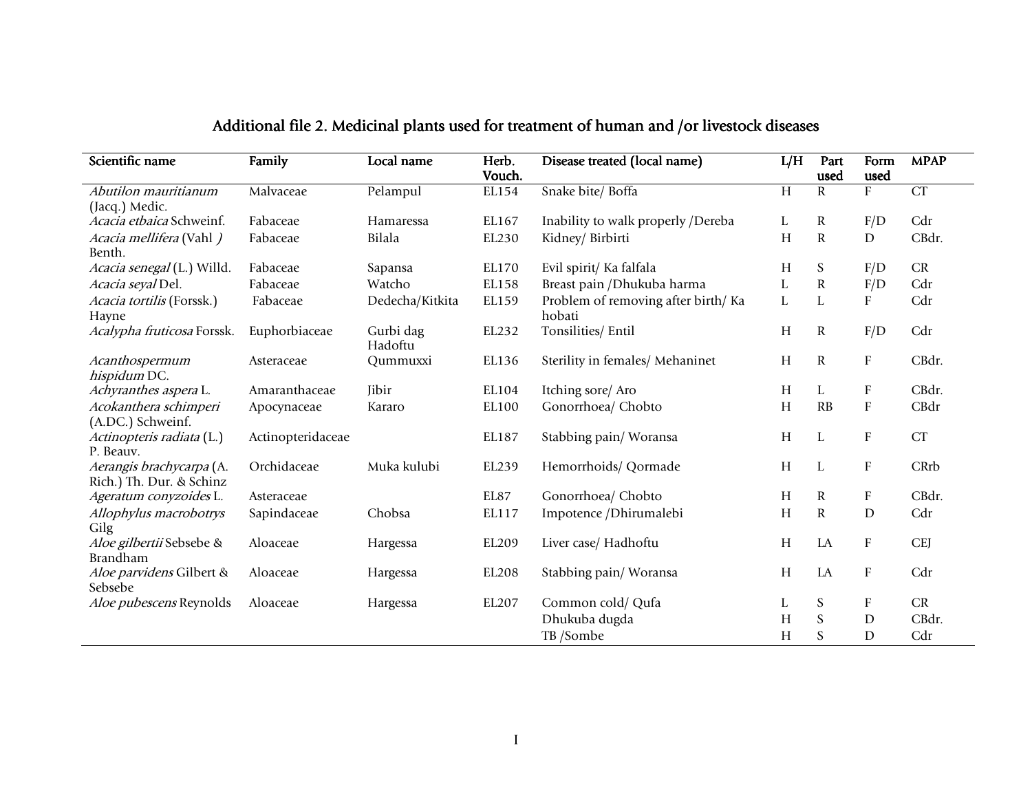| Scientific name                                      | Family            | Local name           | Herb.<br>Vouch. | Disease treated (local name)                 | L/H | Part<br>used | Form<br>used              | <b>MPAP</b> |
|------------------------------------------------------|-------------------|----------------------|-----------------|----------------------------------------------|-----|--------------|---------------------------|-------------|
| Abutilon mauritianum                                 | Malvaceae         | Pelampul             | EL154           | Snake bite/ Boffa                            | H   | $\mathbf R$  | F                         | CT          |
| (Jacq.) Medic.                                       |                   |                      |                 |                                              |     |              |                           |             |
| Acacia etbaica Schweinf.                             | Fabaceae          | Hamaressa            | EL167           | Inability to walk properly /Dereba           | L   | $\mathbf R$  | F/D                       | Cdr         |
| Acacia mellifera (Vahl)<br>Benth.                    | Fabaceae          | Bilala               | EL230           | Kidney/ Birbirti                             | H   | $\mathbf R$  | D                         | CBdr.       |
| Acacia senegal (L.) Willd.                           | Fabaceae          | Sapansa              | EL170           | Evil spirit/ Ka falfala                      | H   | S            | F/D                       | CR          |
| Acacia seyal Del.                                    | Fabaceae          | Watcho               | EL158           | Breast pain / Dhukuba harma                  | L   | ${\bf R}$    | F/D                       | Cdr         |
| Acacia tortilis (Forssk.)<br>Hayne                   | Fabaceae          | Dedecha/Kitkita      | EL159           | Problem of removing after birth/Ka<br>hobati | L   | L            | F                         | Cdr         |
| Acalypha fruticosa Forssk.                           | Euphorbiaceae     | Gurbi dag<br>Hadoftu | EL232           | Tonsilities/ Entil                           | H   | R            | F/D                       | Cdr         |
| Acanthospermum<br>hispidum DC.                       | Asteraceae        | Qummuxxi             | EL136           | Sterility in females/ Mehaninet              | H   | $\mathbb{R}$ | $\mathbf F$               | CBdr.       |
| Achyranthes aspera L.                                | Amaranthaceae     | Jibir                | EL104           | Itching sore/ Aro                            | H   | L            | F                         | CBdr.       |
| Acokanthera schimperi<br>(A.DC.) Schweinf.           | Apocynaceae       | Kararo               | EL100           | Gonorrhoea/ Chobto                           | H   | RB           | $\boldsymbol{\mathrm{F}}$ | CBdr        |
| Actinopteris radiata (L.)<br>P. Beauv.               | Actinopteridaceae |                      | EL187           | Stabbing pain/Woransa                        | H   | L            | $\boldsymbol{\mathrm{F}}$ | CT          |
| Aerangis brachycarpa (A.<br>Rich.) Th. Dur. & Schinz | Orchidaceae       | Muka kulubi          | EL239           | Hemorrhoids/ Qormade                         | H   | L            | $\mathbf F$               | CRrb        |
| Ageratum conyzoides L.                               | Asteraceae        |                      | EL87            | Gonorrhoea/ Chobto                           | H   | $\mathbf R$  | $\rm F$                   | CBdr.       |
| Allophylus macrobotrys<br>Gilg                       | Sapindaceae       | Chobsa               | EL117           | Impotence /Dhirumalebi                       | H   | ${\bf R}$    | $\mathbf D$               | Cdr         |
| Aloe gilbertii Sebsebe &<br>Brandham                 | Aloaceae          | Hargessa             | EL209           | Liver case/ Hadhoftu                         | H   | LA           | ${\bf F}$                 | <b>CEJ</b>  |
| Aloe parvidens Gilbert &<br>Sebsebe                  | Aloaceae          | Hargessa             | EL208           | Stabbing pain/Woransa                        | H   | LA           | $\mathbf F$               | Cdr         |
| Aloe pubescens Reynolds                              | Aloaceae          | Hargessa             | EL207           | Common cold/ Qufa                            | L   | S            | $\mathbf F$               | CR          |
|                                                      |                   |                      |                 | Dhukuba dugda                                | Н   | S            | $\mathbf D$               | CBdr.       |
|                                                      |                   |                      |                 | TB /Sombe                                    | H   | S            | D                         | Cdr         |

# Additional file 2. Medicinal plants used for treatment of human and /or livestock diseases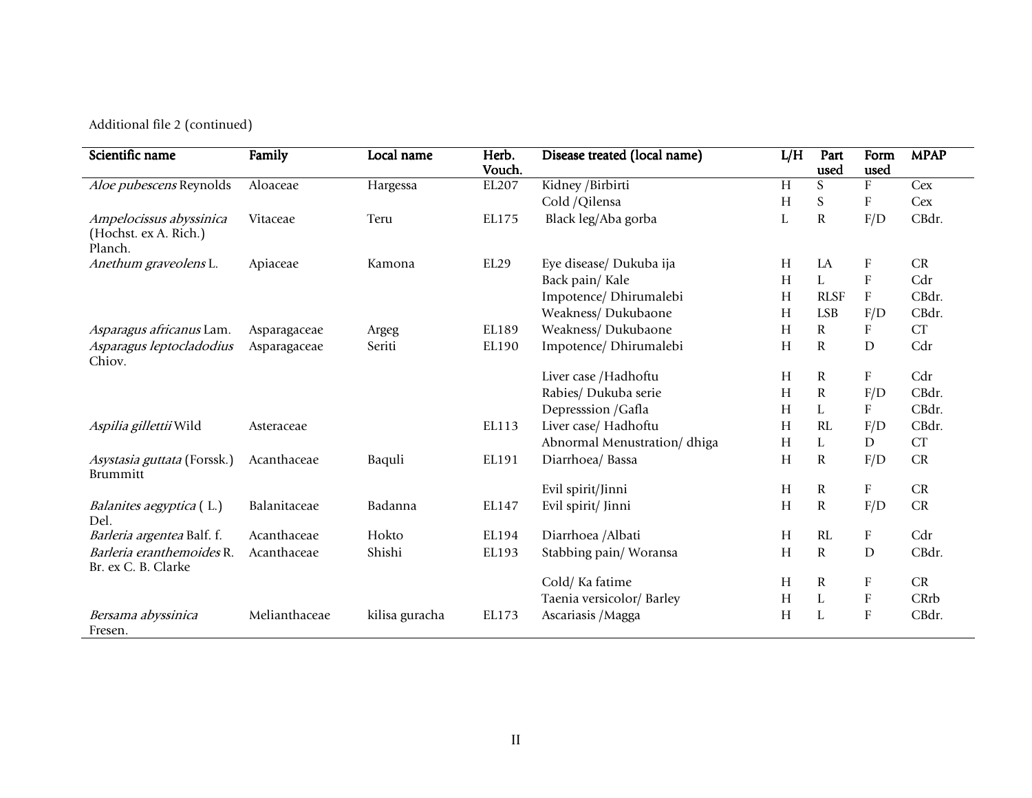Additional file 2 (continued)

| Scientific name                                             | Family        | Local name     | Herb.<br>Vouch. | Disease treated (local name) | L/H | Part<br>used   | Form<br>used              | <b>MPAP</b> |
|-------------------------------------------------------------|---------------|----------------|-----------------|------------------------------|-----|----------------|---------------------------|-------------|
| Aloe pubescens Reynolds                                     | Aloaceae      | Hargessa       | EL207           | Kidney / Birbirti            | H   | ${\mathcal S}$ | ${\bf F}$                 | Cex         |
|                                                             |               |                |                 | Cold /Qilensa                | H   | S              | F                         | Cex         |
| Ampelocissus abyssinica<br>(Hochst. ex A. Rich.)<br>Planch. | Vitaceae      | Teru           | EL175           | Black leg/Aba gorba          | L   | $\mathbf R$    | F/D                       | CBdr.       |
| Anethum graveolens L.                                       | Apiaceae      | Kamona         | EL29            | Eye disease/ Dukuba ija      | H   | LA             | $\boldsymbol{\mathrm{F}}$ | CR          |
|                                                             |               |                |                 | Back pain/Kale               | H   | L              | F                         | Cdr         |
|                                                             |               |                |                 | Impotence/ Dhirumalebi       | H   | <b>RLSF</b>    | ${\bf F}$                 | CBdr.       |
|                                                             |               |                |                 | Weakness/ Dukubaone          | H   | <b>LSB</b>     | F/D                       | CBdr.       |
| Asparagus africanus Lam.                                    | Asparagaceae  | Argeg          | EL189           | Weakness/ Dukubaone          | H   | $\mathbf R$    | $\boldsymbol{\mathrm{F}}$ | CT          |
| Asparagus leptocladodius<br>Chiov.                          | Asparagaceae  | Seriti         | EL190           | Impotence/ Dhirumalebi       | H   | $\mathbf R$    | D                         | Cdr         |
|                                                             |               |                |                 | Liver case /Hadhoftu         | H   | R              | ${\bf F}$                 | Cdr         |
|                                                             |               |                |                 | Rabies/ Dukuba serie         | H   | R              | F/D                       | CBdr.       |
|                                                             |               |                |                 | Depresssion / Gafla          | H   | L              | ${\bf F}$                 | CBdr.       |
| Aspilia gillettii Wild                                      | Asteraceae    |                | EL113           | Liver case/ Hadhoftu         | H   | RL             | F/D                       | CBdr.       |
|                                                             |               |                |                 | Abnormal Menustration/dhiga  | H   | L              | $\mathbf D$               | CT          |
| Asystasia guttata (Forssk.)<br>Brummitt                     | Acanthaceae   | Baquli         | EL191           | Diarrhoea/ Bassa             | H   | R              | F/D                       | CR          |
|                                                             |               |                |                 | Evil spirit/Jinni            | H   | R              | ${\bf F}$                 | ${\cal CR}$ |
| Balanites aegyptica (L.)<br>Del.                            | Balanitaceae  | Badanna        | EL147           | Evil spirit/ Jinni           | H   | R              | F/D                       | CR          |
| Barleria argentea Balf. f.                                  | Acanthaceae   | Hokto          | EL194           | Diarrhoea / Albati           | H   | RL             | $\boldsymbol{\mathrm{F}}$ | Cdr         |
| Barleria eranthemoides R.<br>Br. ex C. B. Clarke            | Acanthaceae   | Shishi         | EL193           | Stabbing pain/ Woransa       | H   | $\mathbf R$    | $\mathbf D$               | CBdr.       |
|                                                             |               |                |                 | Cold/Ka fatime               | H   | $\mathbf R$    | $\rm F$                   | CR          |
|                                                             |               |                |                 | Taenia versicolor/ Barley    | H   | L              | $\boldsymbol{\mathrm{F}}$ | CRrb        |
| Bersama abyssinica<br>Fresen.                               | Melianthaceae | kilisa guracha | EL173           | Ascariasis / Magga           | H   | L              | $\mathbf{F}$              | CBdr.       |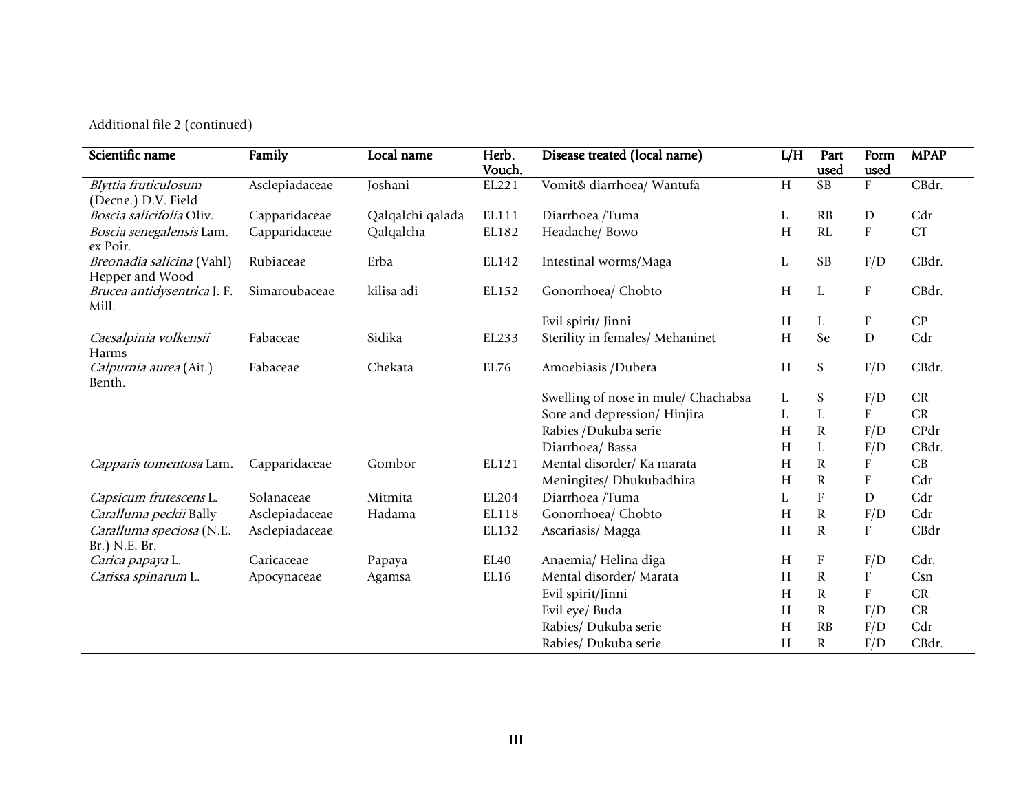Additional file 2 (continued)

| Scientific name                              | Family         | Local name       | Herb.  | Disease treated (local name)        | L/H       | Part                   | Form                      | <b>MPAP</b> |
|----------------------------------------------|----------------|------------------|--------|-------------------------------------|-----------|------------------------|---------------------------|-------------|
|                                              |                |                  | Vouch. |                                     |           | used                   | used                      |             |
| Blyttia fruticulosum                         | Asclepiadaceae | Joshani          | EL221  | Vomit& diarrhoea/ Wantufa           | H         | $\overline{\text{SB}}$ | ${\rm F}$                 | CBdr.       |
| (Decne.) D.V. Field                          |                |                  |        |                                     |           |                        |                           |             |
| Boscia salicifolia Oliv.                     | Capparidaceae  | Qalqalchi qalada | EL111  | Diarrhoea /Tuma                     | L         | RB                     | D                         | Cdr         |
| Boscia senegalensis Lam.<br>ex Poir.         | Capparidaceae  | Qalqalcha        | EL182  | Headache/ Bowo                      | H         | RL                     | ${\bf F}$                 | CT          |
| Breonadia salicina (Vahl)<br>Hepper and Wood | Rubiaceae      | Erba             | EL142  | Intestinal worms/Maga               | L         | <b>SB</b>              | F/D                       | CBdr.       |
| Brucea antidysentrica J. F.<br>Mill.         | Simaroubaceae  | kilisa adi       | EL152  | Gonorrhoea/ Chobto                  | H         | $\mathbf L$            | $\boldsymbol{\mathrm{F}}$ | CBdr.       |
|                                              |                |                  |        | Evil spirit/ Jinni                  | Н         | L                      | F                         | ${\cal CP}$ |
| Caesalpinia volkensii                        | Fabaceae       | Sidika           | EL233  | Sterility in females/ Mehaninet     | $H_{\rm}$ | Se                     | D                         | Cdr         |
| Harms                                        |                |                  |        |                                     |           |                        |                           |             |
| Calpurnia aurea (Ait.)<br>Benth.             | Fabaceae       | Chekata          | EL76   | Amoebiasis /Dubera                  | H         | S                      | F/D                       | CBdr.       |
|                                              |                |                  |        | Swelling of nose in mule/ Chachabsa | L         | ${\mathsf S}$          | F/D                       | CR          |
|                                              |                |                  |        | Sore and depression/Hinjira         | L         | $\mathbf L$            | $\boldsymbol{\mathrm{F}}$ | CR          |
|                                              |                |                  |        | Rabies /Dukuba serie                | Н         | ${\bf R}$              | F/D                       | CPdr        |
|                                              |                |                  |        | Diarrhoea/ Bassa                    | H         | L                      | F/D                       | CBdr.       |
| Capparis tomentosa Lam.                      | Capparidaceae  | Gombor           | EL121  | Mental disorder/ Ka marata          | Н         | ${\bf R}$              | ${\rm F}$                 | CB          |
|                                              |                |                  |        | Meningites/ Dhukubadhira            | Н         | ${\bf R}$              | $\boldsymbol{\mathrm{F}}$ | Cdr         |
| Capsicum frutescens L.                       | Solanaceae     | Mitmita          | EL204  | Diarrhoea /Tuma                     | L         | ${\bf F}$              | $\mathbf D$               | Cdr         |
| Caralluma peckii Bally                       | Asclepiadaceae | Hadama           | EL118  | Gonorrhoea/ Chobto                  | Н         | ${\bf R}$              | F/D                       | Cdr         |
| Caralluma speciosa (N.E.                     | Asclepiadaceae |                  | EL132  | Ascariasis/Magga                    | H         | $\mathbf R$            | ${\rm F}$                 | CBdr        |
| Br.) N.E. Br.                                |                |                  |        |                                     |           |                        |                           |             |
| Carica papaya L.                             | Caricaceae     | Papaya           | EL40   | Anaemia/Helina diga                 | H         | ${\bf F}$              | F/D                       | Cdr.        |
| Carissa spinarum L.                          | Apocynaceae    | Agamsa           | EL16   | Mental disorder/ Marata             | Н         | ${\bf R}$              | ${\bf F}$                 | Csn         |
|                                              |                |                  |        | Evil spirit/Jinni                   | Н         | ${\bf R}$              | $\boldsymbol{\mathrm{F}}$ | CR          |
|                                              |                |                  |        | Evil eye/ Buda                      | H         | ${\bf R}$              | F/D                       | CR          |
|                                              |                |                  |        | Rabies/ Dukuba serie                | H         | RB                     | F/D                       | Cdr         |
|                                              |                |                  |        | Rabies/ Dukuba serie                | $H_{\rm}$ | ${\bf R}$              | F/D                       | CBdr.       |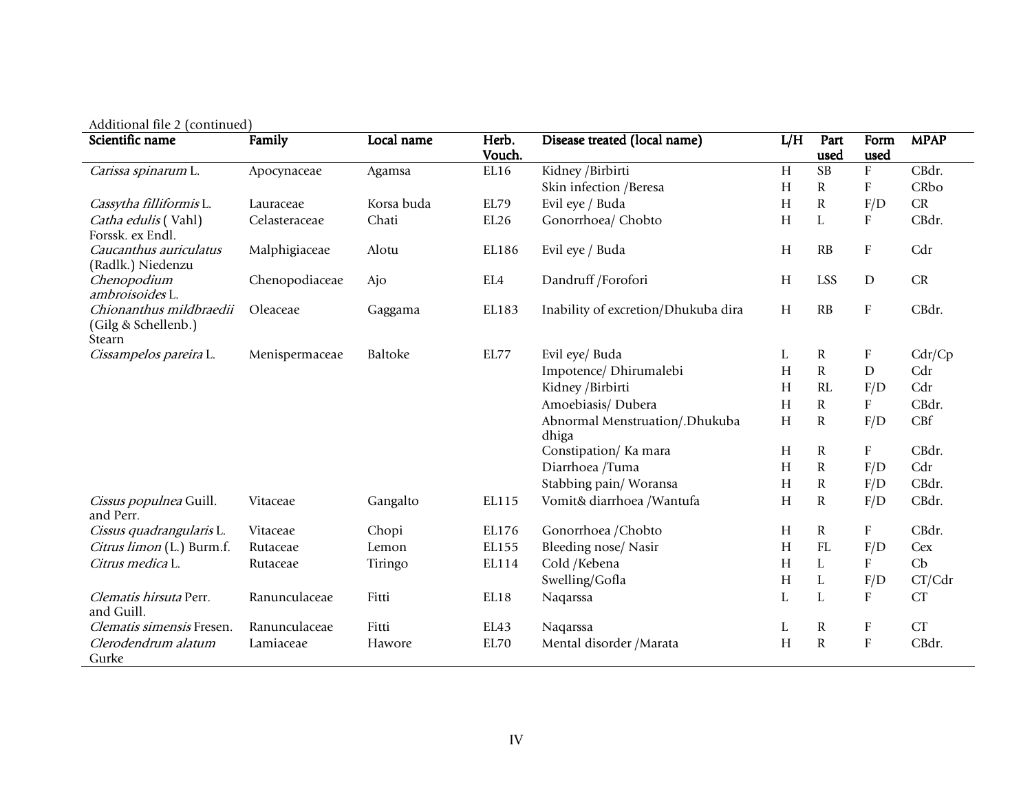|                                                          | Additional file 2 (continued) |            |                 |                                         |     |              |                           |                |  |  |  |
|----------------------------------------------------------|-------------------------------|------------|-----------------|-----------------------------------------|-----|--------------|---------------------------|----------------|--|--|--|
| Scientific name                                          | Family                        | Local name | Herb.<br>Vouch. | Disease treated (local name)            | L/H | Part<br>used | Form<br>used              | <b>MPAP</b>    |  |  |  |
| Carissa spinarum L.                                      | Apocynaceae                   | Agamsa     | EL16            | Kidney /Birbirti                        | H   | <b>SB</b>    | ${\bf F}$                 | CBdr.          |  |  |  |
|                                                          |                               |            |                 | Skin infection / Beresa                 | H   | R            | $\boldsymbol{\mathrm{F}}$ | CRbo           |  |  |  |
| Cassytha filliformis L.                                  | Lauraceae                     | Korsa buda | EL79            | Evil eye / Buda                         | H   | ${\bf R}$    | F/D                       | CR             |  |  |  |
| Catha edulis (Vahl)<br>Forssk. ex Endl.                  | Celasteraceae                 | Chati      | EL26            | Gonorrhoea/ Chobto                      | H   | L            | $\boldsymbol{\mathrm{F}}$ | CBdr.          |  |  |  |
| Caucanthus auriculatus<br>(Radlk.) Niedenzu              | Malphigiaceae                 | Alotu      | EL186           | Evil eye / Buda                         | H   | RB           | ${\bf F}$                 | Cdr            |  |  |  |
| Chenopodium<br>ambroisoides L.                           | Chenopodiaceae                | Ajo        | EL4             | Dandruff /Forofori                      | H   | <b>LSS</b>   | ${\rm D}$                 | CR             |  |  |  |
| Chionanthus mildbraedii<br>(Gilg & Schellenb.)<br>Stearn | Oleaceae                      | Gaggama    | EL183           | Inability of excretion/Dhukuba dira     | H   | RB           | ${\bf F}$                 | CBdr.          |  |  |  |
| Cissampelos pareira L.                                   | Menispermaceae                | Baltoke    | EL77            | Evil eye/ Buda                          | L   | $\mathbf R$  | $\boldsymbol{\mathrm{F}}$ | Cdr/Cp         |  |  |  |
|                                                          |                               |            |                 | Impotence/ Dhirumalebi                  | H   | $\mathbf R$  | ${\rm D}$                 | Cdr            |  |  |  |
|                                                          |                               |            |                 | Kidney /Birbirti                        | H   | RL           | F/D                       | Cdr            |  |  |  |
|                                                          |                               |            |                 | Amoebiasis/ Dubera                      | H   | $\mathbf R$  | F                         | CBdr.          |  |  |  |
|                                                          |                               |            |                 | Abnormal Menstruation/.Dhukuba<br>dhiga | H   | $\mathbf R$  | F/D                       | $C\mathbb{B}f$ |  |  |  |
|                                                          |                               |            |                 | Constipation/Ka mara                    | H   | R            | $\boldsymbol{\mathrm{F}}$ | CBdr.          |  |  |  |
|                                                          |                               |            |                 | Diarrhoea /Tuma                         | H   | ${\bf R}$    | F/D                       | Cdr            |  |  |  |
|                                                          |                               |            |                 | Stabbing pain/Woransa                   | H   | $\mathbf R$  | F/D                       | CBdr.          |  |  |  |
| Cissus populnea Guill.<br>and Perr.                      | Vitaceae                      | Gangalto   | EL115           | Vomit& diarrhoea /Wantufa               | H   | $\mathbf R$  | F/D                       | CBdr.          |  |  |  |
| Cissus quadrangularis L.                                 | Vitaceae                      | Chopi      | EL176           | Gonorrhoea / Chobto                     | H   | $\mathbf R$  | ${\bf F}$                 | CBdr.          |  |  |  |
| Citrus limon (L.) Burm.f.                                | Rutaceae                      | Lemon      | EL155           | Bleeding nose/ Nasir                    | H   | FL           | F/D                       | Cex            |  |  |  |
| Citrus medica L.                                         | Rutaceae                      | Tiringo    | EL114           | Cold /Kebena                            | H   | L            | $\boldsymbol{\mathrm{F}}$ | Cb             |  |  |  |
|                                                          |                               |            |                 | Swelling/Gofla                          | H   | L            | F/D                       | CT/Cdr         |  |  |  |
| Clematis hirsuta Perr.<br>and Guill.                     | Ranunculaceae                 | Fitti      | EL18            | Naqarssa                                | L   | L            | ${\bf F}$                 | CT             |  |  |  |
| Clematis simensis Fresen.                                | Ranunculaceae                 | Fitti      | EL43            | Naqarssa                                | L   | $\mathbf R$  | $\boldsymbol{\mathrm{F}}$ | CT             |  |  |  |
| Clerodendrum alatum<br>Gurke                             | Lamiaceae                     | Hawore     | EL70            | Mental disorder / Marata                | H   | ${\bf R}$    | ${\bf F}$                 | CBdr.          |  |  |  |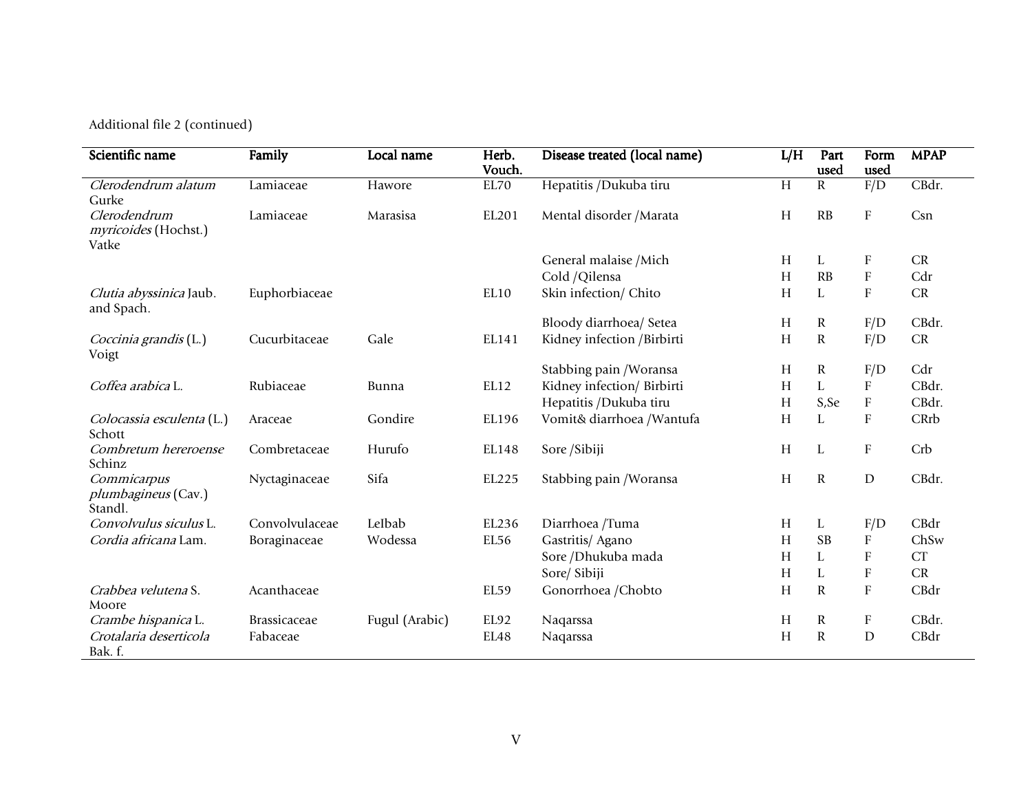Additional file 2 (continued)

| Scientific name                                      | Family              | Local name     | Herb.<br>Vouch. | Disease treated (local name) | L/H | Part<br>used | Form<br>used              | <b>MPAP</b> |
|------------------------------------------------------|---------------------|----------------|-----------------|------------------------------|-----|--------------|---------------------------|-------------|
| Clerodendrum alatum<br>Gurke                         | Lamiaceae           | Hawore         | EL70            | Hepatitis /Dukuba tiru       | H   | R            | F/D                       | CBdr.       |
| Clerodendrum<br>myricoides (Hochst.)<br>Vatke        | Lamiaceae           | Marasisa       | EL201           | Mental disorder / Marata     | H   | RB           | ${\rm F}$                 | Csn         |
|                                                      |                     |                |                 | General malaise / Mich       | H   | L            | F                         | CR          |
|                                                      |                     |                |                 | Cold /Qilensa                | H   | RB           | ${\bf F}$                 | Cdr         |
| Clutia abyssinica Jaub.<br>and Spach.                | Euphorbiaceae       |                | EL10            | Skin infection/ Chito        | H   | L            | F                         | CR          |
|                                                      |                     |                |                 | Bloody diarrhoea/ Setea      | H   | $\mathbf R$  | F/D                       | CBdr.       |
| Coccinia grandis (L.)<br>Voigt                       | Cucurbitaceae       | Gale           | EL141           | Kidney infection /Birbirti   | H   | ${\bf R}$    | F/D                       | CR          |
|                                                      |                     |                |                 | Stabbing pain / Woransa      | H   | ${\bf R}$    | F/D                       | Cdr         |
| Coffea arabica L.                                    | Rubiaceae           | <b>Bunna</b>   | EL12            | Kidney infection/ Birbirti   | H   | L            | ${\bf F}$                 | CBdr.       |
|                                                      |                     |                |                 | Hepatitis /Dukuba tiru       | H   | S, Se        | $\boldsymbol{\mathrm{F}}$ | CBdr.       |
| Colocassia esculenta (L.)<br>Schott                  | Araceae             | Gondire        | EL196           | Vomit& diarrhoea /Wantufa    | H   | L            | ${\bf F}$                 | CRrb        |
| Combretum hereroense<br>Schinz                       | Combretaceae        | Hurufo         | EL148           | Sore /Sibiji                 | H   | L            | ${\bf F}$                 | Crb         |
| Commicarpus<br><i>plumbagineus</i> (Cav.)<br>Standl. | Nyctaginaceae       | Sifa           | EL225           | Stabbing pain / Woransa      | H   | $\mathbf R$  | ${\rm D}$                 | CBdr.       |
| Convolvulus siculus L.                               | Convolvulaceae      | LeIbab         | EL236           | Diarrhoea /Tuma              | H   | L            | F/D                       | CBdr        |
| Cordia africana Lam.                                 | Boraginaceae        | Wodessa        | EL56            | Gastritis/ Agano             | H   | <b>SB</b>    | ${\bf F}$                 | ChSw        |
|                                                      |                     |                |                 | Sore /Dhukuba mada           | H   | L            | ${\bf F}$                 | CT          |
|                                                      |                     |                |                 | Sore/ Sibiji                 | H   | L            | ${\bf F}$                 | CR          |
| Crabbea velutena S.<br>Moore                         | Acanthaceae         |                | EL59            | Gonorrhoea /Chobto           | H   | $\mathbf R$  | ${\bf F}$                 | CBdr        |
| Crambe hispanica L.                                  | <b>Brassicaceae</b> | Fugul (Arabic) | EL92            | Naqarssa                     | H   | $\mathbb R$  | $\boldsymbol{\mathrm{F}}$ | CBdr.       |
| Crotalaria deserticola<br>Bak. f.                    | Fabaceae            |                | EL48            | Naqarssa                     | H   | ${\bf R}$    | $\mathbf D$               | CBdr        |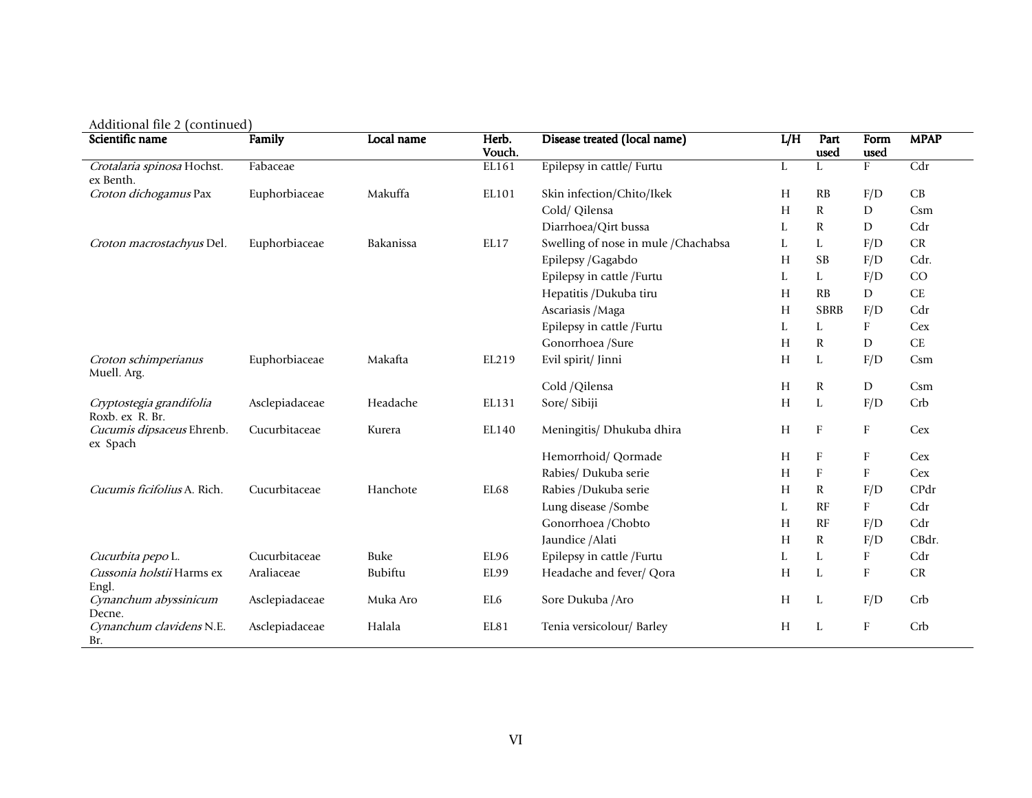| Scientific name                             | Family         | Local name | Herb.<br>Vouch. | Disease treated (local name)         | L/H | Part<br>used | Form<br>used | <b>MPAP</b>         |
|---------------------------------------------|----------------|------------|-----------------|--------------------------------------|-----|--------------|--------------|---------------------|
| Crotalaria spinosa Hochst.                  | Fabaceae       |            | EL161           | Epilepsy in cattle/ Furtu            | L   | L            | F            | Cdr                 |
| ex Benth.                                   |                |            |                 |                                      |     |              |              |                     |
| Croton dichogamus Pax                       | Euphorbiaceae  | Makuffa    | EL101           | Skin infection/Chito/Ikek            | H   | RB           | F/D          | CB                  |
|                                             |                |            |                 | Cold/ Qilensa                        | H   | $\mathbb{R}$ | D            | Csm                 |
|                                             |                |            |                 | Diarrhoea/Qirt bussa                 | L   | $\mathbb{R}$ | D            | Cdr                 |
| Croton macrostachyus Del.                   | Euphorbiaceae  | Bakanissa  | EL17            | Swelling of nose in mule / Chachabsa | L   | L            | F/D          | CR                  |
|                                             |                |            |                 | Epilepsy / Gagabdo                   | H   | <b>SB</b>    | F/D          | Cdr.                |
|                                             |                |            |                 | Epilepsy in cattle / Furtu           | L   | L            | F/D          | CO                  |
|                                             |                |            |                 | Hepatitis /Dukuba tiru               | H   | RB           | D            | $\operatorname{CE}$ |
|                                             |                |            |                 | Ascariasis / Maga                    | H   | <b>SBRB</b>  | F/D          | Cdr                 |
|                                             |                |            |                 | Epilepsy in cattle / Furtu           | L   | L            | F            | Cex                 |
|                                             |                |            |                 | Gonorrhoea /Sure                     | H   | $\mathbb{R}$ | D            | $\operatorname{CE}$ |
| Croton schimperianus<br>Muell. Arg.         | Euphorbiaceae  | Makafta    | EL219           | Evil spirit/ Jinni                   | H   | L            | F/D          | Csm                 |
|                                             |                |            |                 | Cold /Qilensa                        | H   | $\mathbb{R}$ | D            | Csm                 |
| Cryptostegia grandifolia<br>Roxb. ex R. Br. | Asclepiadaceae | Headache   | EL131           | Sore/ Sibiji                         | H   | L            | F/D          | Crb                 |
| Cucumis dipsaceus Ehrenb.<br>ex Spach       | Cucurbitaceae  | Kurera     | EL140           | Meningitis/ Dhukuba dhira            | H   | $\Gamma$     | F            | Cex                 |
|                                             |                |            |                 | Hemorrhoid/ Qormade                  | H   | F            | F            | Cex                 |
|                                             |                |            |                 | Rabies/ Dukuba serie                 | H   | F            | F            | Cex                 |
| Cucumis ficifolius A. Rich.                 | Cucurbitaceae  | Hanchote   | <b>EL68</b>     | Rabies /Dukuba serie                 | H   | $\mathbb{R}$ | F/D          | CPdr                |
|                                             |                |            |                 | Lung disease /Sombe                  | L   | RF           | F            | Cdr                 |
|                                             |                |            |                 | Gonorrhoea / Chobto                  | H   | RF           | F/D          | Cdr                 |
|                                             |                |            |                 | Jaundice / Alati                     | H   | $\mathbb{R}$ | F/D          | CBdr.               |
| Cucurbita pepo L.                           | Cucurbitaceae  | Buke       | EL96            | Epilepsy in cattle /Furtu            | L   | L            | F            | Cdr                 |
| Cussonia holstii Harms ex<br>Engl.          | Araliaceae     | Bubiftu    | EL99            | Headache and fever/ Qora             | H   | L            | F            | ${\cal CR}$         |
| Cynanchum abyssinicum<br>Decne.             | Asclepiadaceae | Muka Aro   | EL6             | Sore Dukuba / Aro                    | H   | L            | F/D          | Crb                 |
| Cynanchum clavidens N.E.<br>Br.             | Asclepiadaceae | Halala     | EL81            | Tenia versicolour/ Barley            | H   | L            | $\mathbf{F}$ | Crb                 |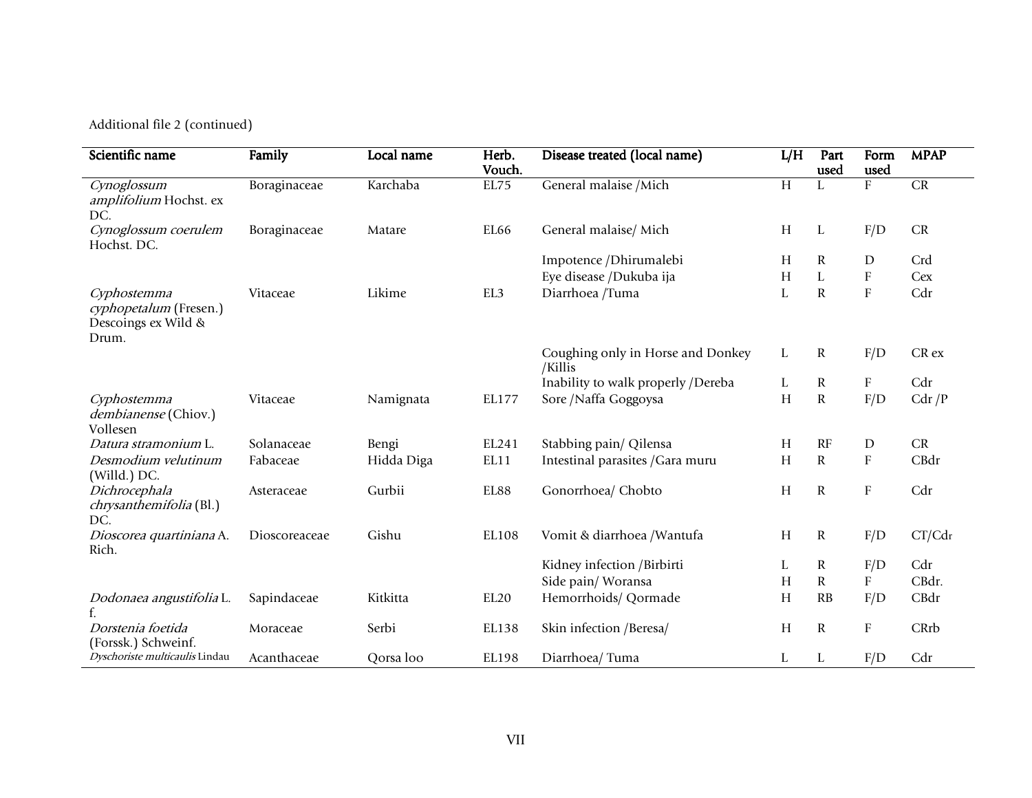Additional file 2 (continued)

| Scientific name                                                       | Family        | Local name | Herb.<br>Vouch.  | Disease treated (local name)                 | L/H | Part<br>used | Form<br>used              | <b>MPAP</b>      |
|-----------------------------------------------------------------------|---------------|------------|------------------|----------------------------------------------|-----|--------------|---------------------------|------------------|
| Cynoglossum<br>amplifolium Hochst. ex<br>DC.                          | Boraginaceae  | Karchaba   | EL75             | General malaise / Mich                       | H   | L            | $\rm F$                   | CR               |
| Cynoglossum coerulem<br>Hochst. DC.                                   | Boraginaceae  | Matare     | EL66             | General malaise/ Mich                        | H   | L            | F/D                       | ${\cal CR}$      |
|                                                                       |               |            |                  | Impotence /Dhirumalebi                       | H   | R            | D                         | Crd              |
|                                                                       |               |            |                  | Eye disease /Dukuba ija                      | Н   | L            | $\boldsymbol{\mathrm{F}}$ | Cex              |
| Cyphostemma<br>cyphopetalum (Fresen.)<br>Descoings ex Wild &<br>Drum. | Vitaceae      | Likime     | EL3              | Diarrhoea /Tuma                              | L   | $\mathbf R$  | ${\bf F}$                 | Cdr              |
|                                                                       |               |            |                  | Coughing only in Horse and Donkey<br>/Killis | L   | $\mathbb R$  | F/D                       | CR <sub>ex</sub> |
|                                                                       |               |            |                  | Inability to walk properly /Dereba           | L   | ${\bf R}$    | ${\bf F}$                 | Cdr              |
| Cyphostemma<br>dembianense (Chiov.)<br>Vollesen                       | Vitaceae      | Namignata  | EL177            | Sore / Naffa Goggoysa                        | H   | $\mathbf R$  | F/D                       | Cdr/P            |
| Datura stramonium L.                                                  | Solanaceae    | Bengi      | EL241            | Stabbing pain/ Qilensa                       | H   | RF           | D                         | CR               |
| Desmodium velutinum<br>(Willd.) DC.                                   | Fabaceae      | Hidda Diga | EL11             | Intestinal parasites / Gara muru             | Н   | $\mathbf R$  | $\boldsymbol{\mathrm{F}}$ | CBdr             |
| Dichrocephala<br><i>chrysanthemifolia</i> (Bl.)<br>DC.                | Asteraceae    | Gurbii     | EL88             | Gonorrhoea/ Chobto                           | H   | $\mathbf R$  | ${\bf F}$                 | Cdr              |
| Dioscorea quartiniana A.<br>Rich.                                     | Dioscoreaceae | Gishu      | EL108            | Vomit & diarrhoea / Wantufa                  | H   | R            | F/D                       | CT/Cdr           |
|                                                                       |               |            |                  | Kidney infection /Birbirti                   | L   | $\mathbf R$  | F/D                       | Cdr              |
|                                                                       |               |            |                  | Side pain/Woransa                            | H   | $\mathbf R$  | $\boldsymbol{\mathrm{F}}$ | CBdr.            |
| Dodonaea angustifolia L.                                              | Sapindaceae   | Kitkitta   | EL <sub>20</sub> | Hemorrhoids/ Qormade                         | H   | RB           | F/D                       | CBdr             |
| Dorstenia foetida<br>(Forssk.) Schweinf.                              | Moraceae      | Serbi      | EL138            | Skin infection /Beresa/                      | H   | $\mathbf R$  | ${\bf F}$                 | CRrb             |
| Dyschoriste multicaulis Lindau                                        | Acanthaceae   | Qorsa loo  | EL198            | Diarrhoea/Tuma                               | L   | L            | F/D                       | Cdr              |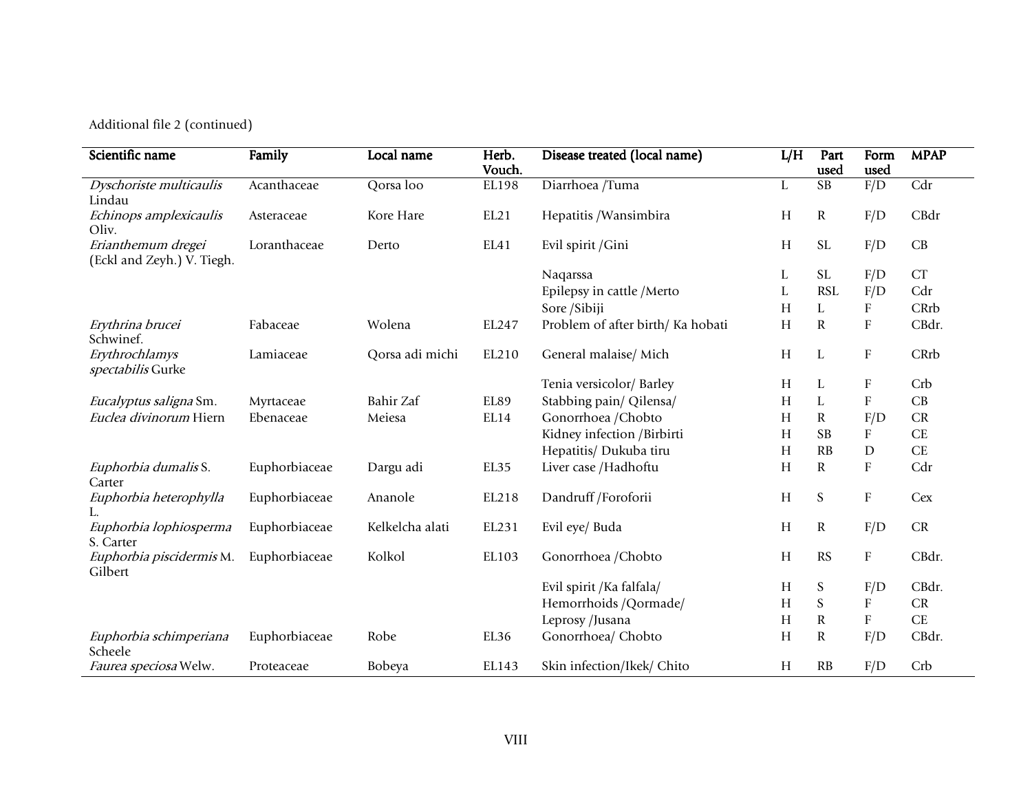Additional file 2 (continued)

| Scientific name                     | Family        | Local name      | Herb.           | Disease treated (local name)      | L/H | Part                           | Form<br>used | <b>MPAP</b> |
|-------------------------------------|---------------|-----------------|-----------------|-----------------------------------|-----|--------------------------------|--------------|-------------|
| Dyschoriste multicaulis             | Acanthaceae   | Qorsa loo       | Vouch.<br>EL198 | Diarrhoea /Tuma                   | L   | used<br>$\overline{\text{SB}}$ | F/D          | Cdr         |
| Lindau                              |               |                 |                 |                                   |     |                                |              |             |
| Echinops amplexicaulis              | Asteraceae    | Kore Hare       | EL21            | Hepatitis /Wansimbira             | H   | ${\bf R}$                      | F/D          | CBdr        |
| Oliv.                               |               |                 |                 |                                   |     |                                |              |             |
| Erianthemum dregei                  | Loranthaceae  | Derto           | EL41            | Evil spirit / Gini                | Н   | <b>SL</b>                      | F/D          | CB          |
| (Eckl and Zeyh.) V. Tiegh.          |               |                 |                 |                                   |     |                                |              |             |
|                                     |               |                 |                 | Naqarssa                          | L   | <b>SL</b>                      | F/D          | CT          |
|                                     |               |                 |                 | Epilepsy in cattle /Merto         | L   | <b>RSL</b>                     | F/D          | Cdr         |
|                                     |               |                 |                 | Sore /Sibiji                      | H   | L                              | ${\bf F}$    | CRrb        |
| Erythrina brucei                    | Fabaceae      | Wolena          | EL247           | Problem of after birth/ Ka hobati | H   | ${\bf R}$                      | ${\bf F}$    | CBdr.       |
| Schwinef.                           |               |                 |                 |                                   |     |                                |              |             |
| Erythrochlamys<br>spectabilis Gurke | Lamiaceae     | Qorsa adi michi | EL210           | General malaise/ Mich             | H   | L                              | ${\bf F}$    | CRrb        |
|                                     |               |                 |                 | Tenia versicolor/ Barley          | H   | L                              | F            | Crb         |
| Eucalyptus saligna Sm.              | Myrtaceae     | Bahir Zaf       | EL89            | Stabbing pain/ Qilensa/           | H   | $\mathbf L$                    | ${\bf F}$    | CB          |
| Euclea divinorum Hiern              | Ebenaceae     | Meiesa          | EL14            | Gonorrhoea / Chobto               | H   | $\mathbf R$                    | F/D          | CR          |
|                                     |               |                 |                 | Kidney infection /Birbirti        | H   | <b>SB</b>                      | ${\bf F}$    | CE          |
|                                     |               |                 |                 | Hepatitis/ Dukuba tiru            | H   | RB                             | $\mathbf D$  | <b>CE</b>   |
| Euphorbia dumalis S.                | Euphorbiaceae | Dargu adi       | EL35            | Liver case /Hadhoftu              | H   | ${\bf R}$                      | ${\bf F}$    | Cdr         |
| Carter                              |               |                 |                 |                                   |     |                                |              |             |
| Euphorbia heterophylla              | Euphorbiaceae | Ananole         | EL218           | Dandruff /Foroforii               | H   | S                              | ${\bf F}$    | Cex         |
| L.                                  |               |                 |                 |                                   |     |                                |              |             |
| Euphorbia lophiosperma              | Euphorbiaceae | Kelkelcha alati | EL231           | Evil eye/ Buda                    | H   | ${\bf R}$                      | F/D          | ${\cal CR}$ |
| S. Carter                           |               |                 |                 |                                   |     |                                |              |             |
| Euphorbia piscidermis M.            | Euphorbiaceae | Kolkol          | EL103           | Gonorrhoea / Chobto               | H   | <b>RS</b>                      | ${\bf F}$    | CBdr.       |
| Gilbert                             |               |                 |                 | Evil spirit / Ka falfala/         | H   | ${\mathsf S}$                  | F/D          | CBdr.       |
|                                     |               |                 |                 | Hemorrhoids /Qormade/             | Н   | S                              | ${\bf F}$    | ${\cal CR}$ |
|                                     |               |                 |                 | Leprosy /Jusana                   | Н   | ${\bf R}$                      | ${\bf F}$    | CE          |
|                                     | Euphorbiaceae | Robe            | EL36            | Gonorrhoea/ Chobto                | H   | ${\bf R}$                      | F/D          | CBdr.       |
| Euphorbia schimperiana<br>Scheele   |               |                 |                 |                                   |     |                                |              |             |
| Faurea speciosa Welw.               | Proteaceae    | Bobeya          | EL143           | Skin infection/Ikek/ Chito        | H   | RB                             | F/D          | Crb         |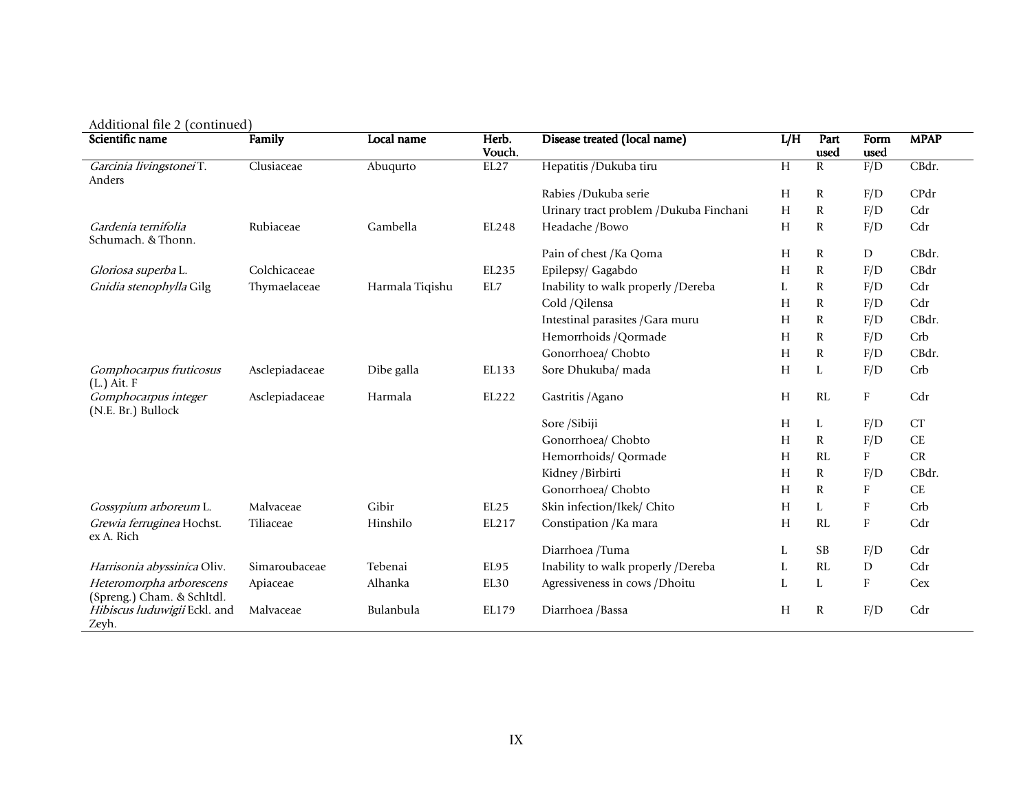| $A$ uunonal me $\,$ (communed)<br>Scientific name | Family         | Local name      | Herb.<br>Vouch. | Disease treated (local name)           | L/H | Part                 | Form             | <b>MPAP</b> |
|---------------------------------------------------|----------------|-----------------|-----------------|----------------------------------------|-----|----------------------|------------------|-------------|
| Garcinia livingstoneiT.                           | Clusiaceae     | Abuqurto        | EL27            | Hepatitis /Dukuba tiru                 | H   | used<br>$\mathbb{R}$ | used<br>F/D      | CBdr.       |
| Anders                                            |                |                 |                 |                                        |     |                      |                  |             |
|                                                   |                |                 |                 | Rabies /Dukuba serie                   | H   | $\mathbb{R}$         | F/D              | CPdr        |
|                                                   |                |                 |                 | Urinary tract problem /Dukuba Finchani | H   | $\mathbb{R}$         | F/D              | Cdr         |
| Gardenia ternifolia<br>Schumach. & Thonn.         | Rubiaceae      | Gambella        | EL248           | Headache /Bowo                         | H   | $\mathbf R$          | F/D              | Cdr         |
|                                                   |                |                 |                 | Pain of chest /Ka Qoma                 | H   | $\mathbb{R}$         | D                | CBdr.       |
| Gloriosa superba L.                               | Colchicaceae   |                 | EL235           | Epilepsy/ Gagabdo                      | H   | $\mathbb{R}$         | F/D              | CBdr        |
| Gnidia stenophylla Gilg                           | Thymaelaceae   | Harmala Tiqishu | EL7             | Inability to walk properly /Dereba     | L   | $\mathbf R$          | F/D              | Cdr         |
|                                                   |                |                 |                 | Cold /Qilensa                          | H   | $\mathbb{R}$         | F/D              | Cdr         |
|                                                   |                |                 |                 | Intestinal parasites / Gara muru       | H   | $\mathbb{R}$         | F/D              | CBdr.       |
|                                                   |                |                 |                 | Hemorrhoids /Qormade                   | H   | $\mathbb{R}$         | F/D              | Crb         |
|                                                   |                |                 |                 | Gonorrhoea/ Chobto                     | H   | $\mathbb{R}$         | F/D              | CBdr.       |
| Gomphocarpus fruticosus                           | Asclepiadaceae | Dibe galla      | EL133           | Sore Dhukuba/ mada                     | H   | L                    | F/D              | Crb         |
| $(L.)$ Ait. $F$                                   |                |                 |                 |                                        |     |                      |                  |             |
| Gomphocarpus integer<br>(N.E. Br.) Bullock        | Asclepiadaceae | Harmala         | EL222           | Gastritis / Agano                      | H   | RL                   | $\mathbf{F}$     | Cdr         |
|                                                   |                |                 |                 | Sore /Sibiji                           | H   | L                    | F/D              | CT          |
|                                                   |                |                 |                 | Gonorrhoea/ Chobto                     | H   | $\mathbb{R}$         | F/D              | CE          |
|                                                   |                |                 |                 | Hemorrhoids/ Qormade                   | H   | RL                   | F                | CR          |
|                                                   |                |                 |                 | Kidney /Birbirti                       | H   | $\mathbb{R}$         | F/D              | CBdr.       |
|                                                   |                |                 |                 | Gonorrhoea/ Chobto                     | H   | $\mathbf R$          | $\boldsymbol{F}$ | CE          |
| Gossypium arboreum L.                             | Malvaceae      | Gibir           | EL25            | Skin infection/Ikek/ Chito             | H   | L                    | $\mathbf{F}$     | Crb         |
| Grewia ferruginea Hochst.<br>ex A. Rich           | Tiliaceae      | Hinshilo        | EL217           | Constipation / Ka mara                 | H   | RL                   | F                | Cdr         |
|                                                   |                |                 |                 | Diarrhoea /Tuma                        | L   | <b>SB</b>            | F/D              | Cdr         |
| Harrisonia abyssinica Oliv.                       | Simaroubaceae  | Tebenai         | EL95            | Inability to walk properly /Dereba     | L   | RL                   | D                | Cdr         |
| Heteromorpha arborescens                          | Apiaceae       | Alhanka         | EL30            | Agressiveness in cows /Dhoitu          | L   | L                    | $\rm F$          | Cex         |
| (Spreng.) Cham. & Schltdl.                        |                |                 |                 |                                        |     |                      |                  |             |
| Hibiscus luduwigii Eckl. and<br>Zeyh.             | Malvaceae      | Bulanbula       | EL179           | Diarrhoea / Bassa                      | H   | $\mathbb{R}$         | F/D              | Cdr         |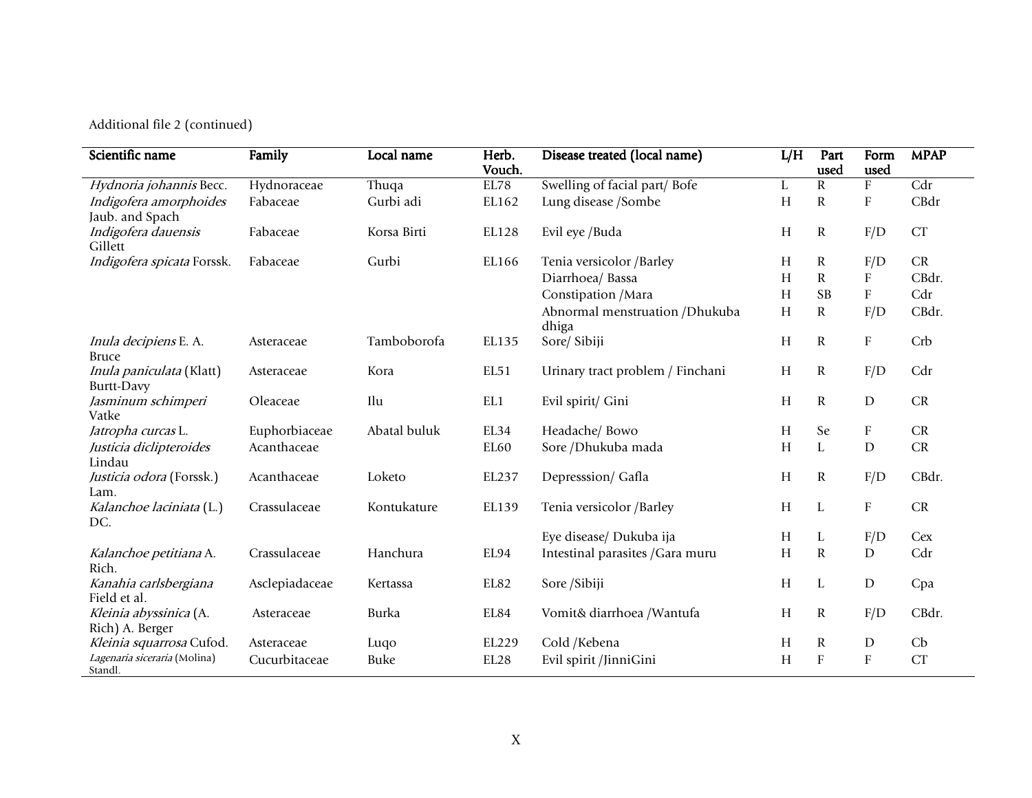Additional file 2 (continued)

| Scientific name                               | Family         | Local name   | Herb.<br>Vouch.  | Disease treated (local name)             | L/H | Part<br>used | Form<br>used              | <b>MPAP</b>      |
|-----------------------------------------------|----------------|--------------|------------------|------------------------------------------|-----|--------------|---------------------------|------------------|
| Hydnoria johannis Becc.                       | Hydnoraceae    | Thuqa        | EL78             | Swelling of facial part/Bofe             | L   | $\mathbf R$  | $\boldsymbol{\mathrm{F}}$ | $\overline{Cdr}$ |
| Indigofera amorphoides<br>Jaub. and Spach     | Fabaceae       | Gurbi adi    | EL162            | Lung disease /Sombe                      | H   | ${\bf R}$    | ${\bf F}$                 | CBdr             |
| Indigofera dauensis<br>Gillett                | Fabaceae       | Korsa Birti  | EL128            | Evil eye /Buda                           | H   | $\mathbb{R}$ | F/D                       | CT               |
| Indigofera spicata Forssk.                    | Fabaceae       | Gurbi        | EL166            | Tenia versicolor /Barley                 | H   | $\mathbb{R}$ | F/D                       | CR               |
|                                               |                |              |                  | Diarrhoea/ Bassa                         | H   | ${\bf R}$    | ${\bf F}$                 | CBdr.            |
|                                               |                |              |                  | Constipation / Mara                      | H   | <b>SB</b>    | ${\bf F}$                 | Cdr              |
|                                               |                |              |                  | Abnormal menstruation / Dhukuba<br>dhiga | H   | $\mathbf R$  | F/D                       | CBdr.            |
| Inula decipiens E. A.<br><b>Bruce</b>         | Asteraceae     | Tamboborofa  | EL135            | Sore/ Sibiji                             | H   | ${\bf R}$    | ${\rm F}$                 | Crb              |
| Inula paniculata (Klatt)<br><b>Burtt-Davy</b> | Asteraceae     | Kora         | EL51             | Urinary tract problem / Finchani         | H   | ${\bf R}$    | F/D                       | Cdr              |
| Jasminum schimperi<br>Vatke                   | Oleaceae       | Ilu          | EL1              | Evil spirit/ Gini                        | H   | ${\bf R}$    | $\mathbf D$               | CR               |
| Jatropha curcas L.                            | Euphorbiaceae  | Abatal buluk | EL34             | Headache/ Bowo                           | H   | Se           | $\boldsymbol{\mathrm{F}}$ | CR               |
| Justicia diclipteroides<br>Lindau             | Acanthaceae    |              | EL <sub>60</sub> | Sore /Dhukuba mada                       | H   | $\mathbf L$  | D                         | CR               |
| Justicia odora (Forssk.)<br>Lam.              | Acanthaceae    | Loketo       | EL237            | Depresssion/ Gafla                       | H   | ${\bf R}$    | F/D                       | CBdr.            |
| Kalanchoe laciniata (L.)<br>DC.               | Crassulaceae   | Kontukature  | EL139            | Tenia versicolor /Barley                 | H   | L            | ${\rm F}$                 | ${\cal CR}$      |
|                                               |                |              |                  | Eye disease/ Dukuba ija                  | Н   | L            | F/D                       | Cex              |
| Kalanchoe petitiana A.<br>Rich.               | Crassulaceae   | Hanchura     | EL94             | Intestinal parasites / Gara muru         | H   | ${\bf R}$    | D                         | Cdr              |
| Kanahia carlsbergiana<br>Field et al.         | Asclepiadaceae | Kertassa     | EL82             | Sore /Sibiji                             | H   | L            | $\mathbf D$               | Cpa              |
| Kleinia abyssinica (A.<br>Rich) A. Berger     | Asteraceae     | Burka        | EL84             | Vomit& diarrhoea /Wantufa                | H   | ${\bf R}$    | F/D                       | CBdr.            |
| Kleinia squarrosa Cufod.                      | Asteraceae     | Luqo         | EL229            | Cold /Kebena                             | H   | R            | $\mathbf D$               | Cb               |
| Lagenaria siceraria (Molina)<br>Standl.       | Cucurbitaceae  | Buke         | EL28             | Evil spirit /JinniGini                   | H   | ${\bf F}$    | F                         | CT               |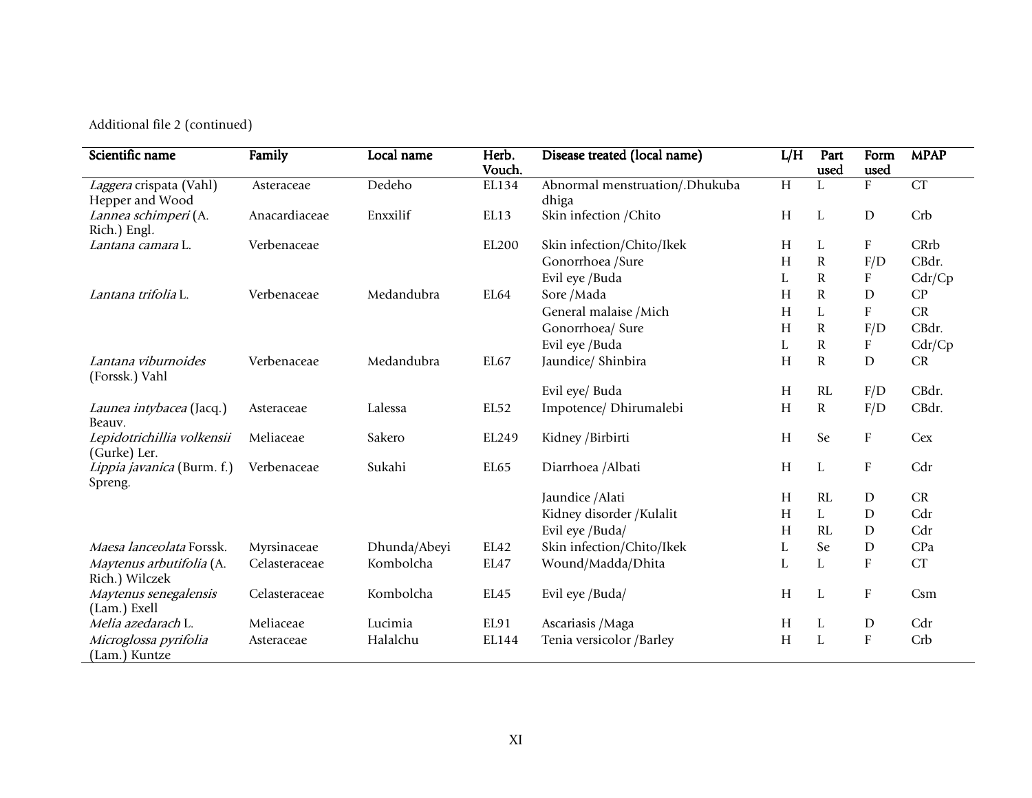Additional file 2 (continued)

| Scientific name                        | Family        | Local name   | Herb.  | Disease treated (local name)   | L/H            | Part         | Form                      | <b>MPAP</b> |
|----------------------------------------|---------------|--------------|--------|--------------------------------|----------------|--------------|---------------------------|-------------|
|                                        |               |              | Vouch. |                                |                | used         | used                      |             |
| Laggera crispata (Vahl)                | Asteraceae    | Dedeho       | EL134  | Abnormal menstruation/.Dhukuba | $\overline{H}$ |              | ${\bf F}$                 | CT          |
| Hepper and Wood                        |               |              |        | dhiga                          |                |              |                           |             |
| Lannea schimperi (A.                   | Anacardiaceae | Enxxilif     | EL13   | Skin infection / Chito         | H              | L            | D                         | Crb         |
| Rich.) Engl.                           |               |              |        |                                |                |              |                           |             |
| Lantana camara L.                      | Verbenaceae   |              | EL200  | Skin infection/Chito/Ikek      | H              | L            | F                         | CRrb        |
|                                        |               |              |        | Gonorrhoea /Sure               | H              | $\mathbf R$  | F/D                       | CBdr.       |
|                                        |               |              |        | Evil eye /Buda                 | L              | $\mathbf R$  | F                         | Cdr/Cp      |
| Lantana trifolia L.                    | Verbenaceae   | Medandubra   | EL64   | Sore /Mada                     | Н              | $\mathbb R$  | D                         | CP          |
|                                        |               |              |        | General malaise / Mich         | H              | L            | ${\bf F}$                 | ${\cal CR}$ |
|                                        |               |              |        | Gonorrhoea/ Sure               | Н              | $\mathbb{R}$ | F/D                       | CBdr.       |
|                                        |               |              |        | Evil eye /Buda                 | L              | $\mathbf R$  | $\boldsymbol{\mathrm{F}}$ | Cdr/Cp      |
| Lantana viburnoides                    | Verbenaceae   | Medandubra   | EL67   | Jaundice/ Shinbira             | Н              | $\mathbf R$  | $\mathbf D$               | CR          |
| (Forssk.) Vahl                         |               |              |        |                                |                |              |                           |             |
|                                        |               |              |        | Evil eye/ Buda                 | Н              | RL           | F/D                       | CBdr.       |
| Launea intybacea (Jacq.)<br>Beauv.     | Asteraceae    | Lalessa      | EL52   | Impotence/ Dhirumalebi         | Н              | ${\bf R}$    | F/D                       | CBdr.       |
| Lepidotrichillia volkensii             | Meliaceae     | Sakero       | EL249  | Kidney /Birbirti               | H              | Se           | $\boldsymbol{\mathrm{F}}$ | Cex         |
| (Gurke) Ler.                           |               |              |        |                                |                |              |                           |             |
| Lippia javanica (Burm. f.)<br>Spreng.  | Verbenaceae   | Sukahi       | EL65   | Diarrhoea /Albati              | H              | L            | $\boldsymbol{\mathrm{F}}$ | Cdr         |
|                                        |               |              |        | Jaundice / Alati               | Н              | RL           | D                         | CR          |
|                                        |               |              |        | Kidney disorder / Kulalit      | Н              | L            | D                         | Cdr         |
|                                        |               |              |        | Evil eye /Buda/                | Н              | RL           | $\mathbf D$               | Cdr         |
| Maesa lanceolata Forssk.               | Myrsinaceae   | Dhunda/Abeyi | EL42   | Skin infection/Chito/Ikek      | L              | Se           | $\mathbf D$               | CPa         |
| Maytenus arbutifolia (A.               | Celasteraceae | Kombolcha    | EL47   | Wound/Madda/Dhita              | L              | L            | ${\rm F}$                 | <b>CT</b>   |
| Rich.) Wilczek                         |               |              |        |                                |                |              |                           |             |
| Maytenus senegalensis                  | Celasteraceae | Kombolcha    | EL45   | Evil eye /Buda/                | Н              | L            | $\boldsymbol{\mathrm{F}}$ | Csm         |
| (Lam.) Exell                           |               |              |        |                                |                |              |                           |             |
| Melia azedarach L.                     | Meliaceae     | Lucimia      | EL91   | Ascariasis / Maga              | H              | L            | $\mathbf D$               | Cdr         |
| Microglossa pyrifolia<br>(Lam.) Kuntze | Asteraceae    | Halalchu     | EL144  | Tenia versicolor /Barley       | H              | L            | ${\bf F}$                 | Crb         |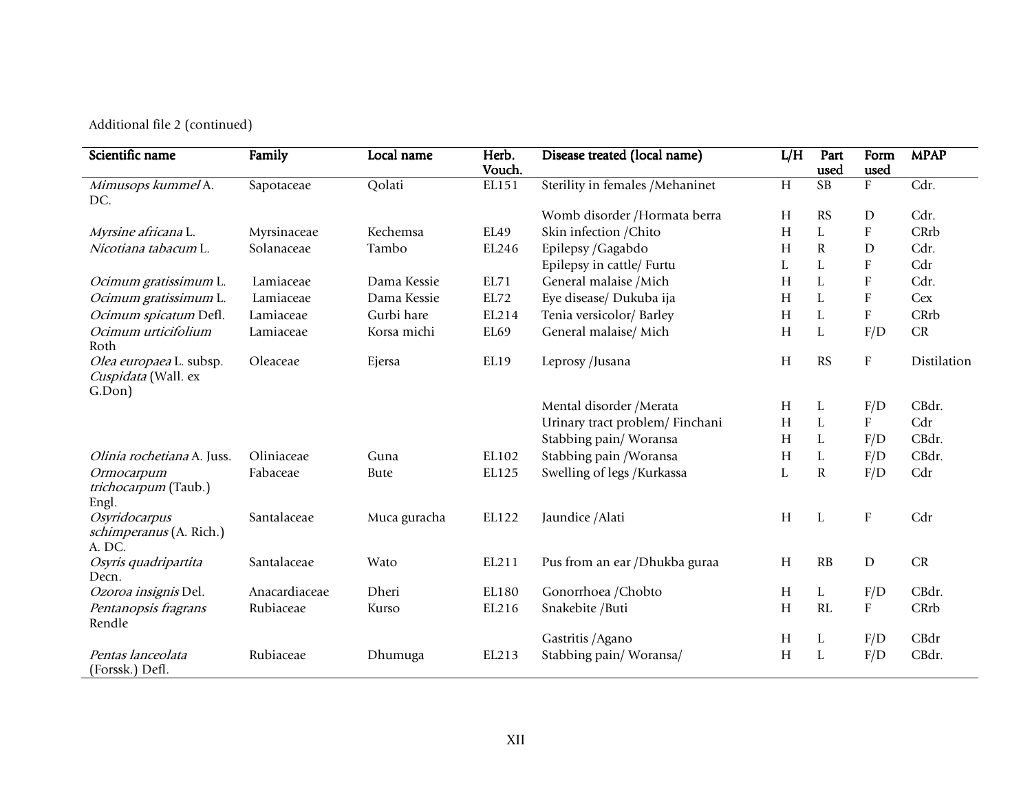Additional file 2 (continued)

| Scientific name                                          | Family        | Local name   | Herb.<br>Vouch. | Disease treated (local name)     | L/H | Part<br>used    | Form<br>used              | <b>MPAP</b> |
|----------------------------------------------------------|---------------|--------------|-----------------|----------------------------------|-----|-----------------|---------------------------|-------------|
| Mimusops kummel A.                                       | Sapotaceae    | Qolati       | EL151           | Sterility in females / Mehaninet | H   | $\overline{SB}$ | F                         | Cdr.        |
| DC.                                                      |               |              |                 |                                  |     |                 |                           |             |
|                                                          |               |              |                 | Womb disorder /Hormata berra     | H   | <b>RS</b>       | D                         | Cdr.        |
| Myrsine africana L.                                      | Myrsinaceae   | Kechemsa     | EL49            | Skin infection / Chito           | H   | L               | $\boldsymbol{\mathrm{F}}$ | CRrb        |
| Nicotiana tabacum L.                                     | Solanaceae    | Tambo        | EL246           | Epilepsy / Gagabdo               | H   | $\mathbf R$     | $\mathbf D$               | Cdr.        |
|                                                          |               |              |                 | Epilepsy in cattle/ Furtu        | L   | L               | ${\bf F}$                 | Cdr         |
| Ocimum gratissimum L.                                    | Lamiaceae     | Dama Kessie  | EL71            | General malaise / Mich           | H   | $\mathbf L$     | ${\bf F}$                 | Cdr.        |
| Ocimum gratissimum L.                                    | Lamiaceae     | Dama Kessie  | EL72            | Eye disease/ Dukuba ija          | H   | L               | $\boldsymbol{\mathrm{F}}$ | Cex         |
| Ocimum spicatum Defl.                                    | Lamiaceae     | Gurbi hare   | EL214           | Tenia versicolor/ Barley         | H   | L               | F                         | CRrb        |
| Ocimum urticifolium<br>Roth                              | Lamiaceae     | Korsa michi  | EL69            | General malaise/ Mich            | H   | L               | F/D                       | ${\cal CR}$ |
| Olea europaea L. subsp.<br>Cuspidata (Wall. ex<br>G.Don) | Oleaceae      | Ejersa       | EL19            | Leprosy /Jusana                  | H   | RS              | $\mathbf{F}$              | Distilation |
|                                                          |               |              |                 | Mental disorder / Merata         | H   | L               | F/D                       | CBdr.       |
|                                                          |               |              |                 | Urinary tract problem/ Finchani  | H   | L               | F                         | Cdr         |
|                                                          |               |              |                 | Stabbing pain/Woransa            | H   | L               | F/D                       | CBdr.       |
| Olinia rochetiana A. Juss.                               | Oliniaceae    | Guna         | EL102           | Stabbing pain / Woransa          | H   | L               | F/D                       | CBdr.       |
| Ormocarpum<br>trichocarpum (Taub.)<br>Engl.              | Fabaceae      | <b>Bute</b>  | EL125           | Swelling of legs / Kurkassa      | L   | ${\bf R}$       | F/D                       | Cdr         |
| Osyridocarpus<br>schimperanus (A. Rich.)<br>A. DC.       | Santalaceae   | Muca guracha | EL122           | Jaundice / Alati                 | H   | L               | $\rm F$                   | Cdr         |
| Osyris quadripartita                                     | Santalaceae   | Wato         | EL211           | Pus from an ear /Dhukba guraa    | H   | RB              | ${\rm D}$                 | ${\cal CR}$ |
| Decn.                                                    |               |              |                 |                                  |     |                 |                           |             |
| Ozoroa insignis Del.                                     | Anacardiaceae | Dheri        | EL180           | Gonorrhoea /Chobto               | H   | L               | F/D                       | CBdr.       |
| Pentanopsis fragrans                                     | Rubiaceae     | Kurso        | EL216           | Snakebite /Buti                  | H   | RL              | F                         | CRrb        |
| Rendle                                                   |               |              |                 |                                  |     |                 |                           |             |
|                                                          |               |              |                 | Gastritis / Agano                | H   | L               | F/D                       | CBdr        |
| Pentas lanceolata<br>(Forssk.) Defl.                     | Rubiaceae     | Dhumuga      | EL213           | Stabbing pain/Woransa/           | H   | L               | F/D                       | CBdr.       |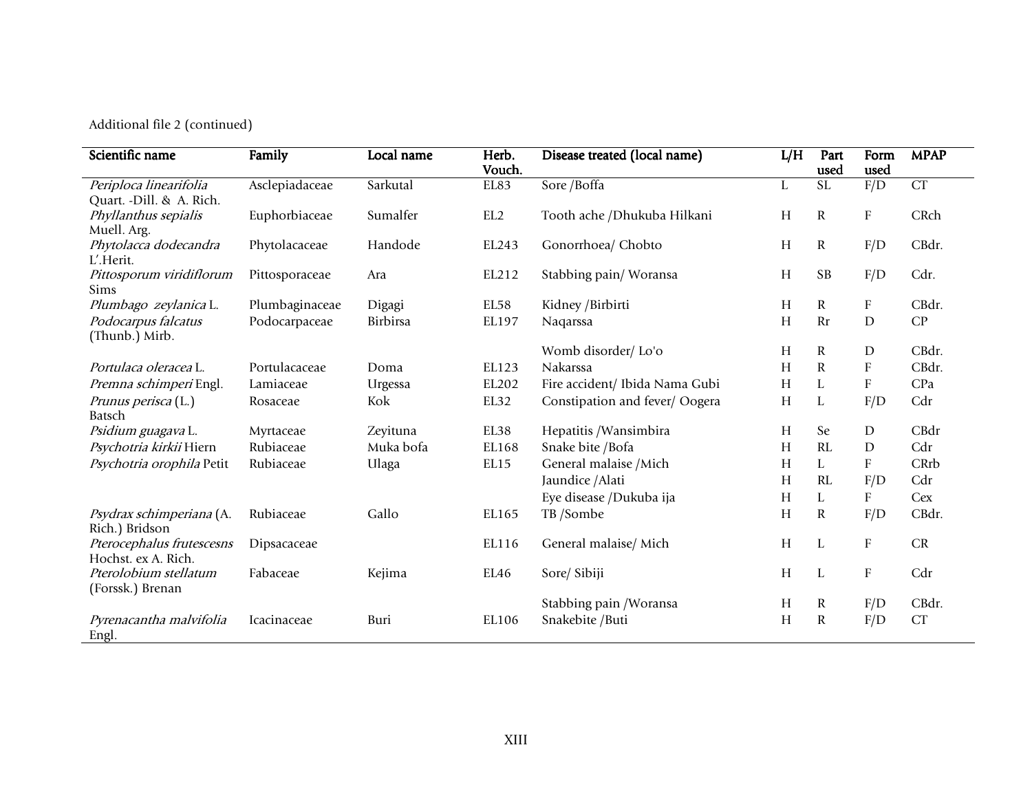Additional file 2 (continued)

| Scientific name                    | Family         | Local name | Herb.  | Disease treated (local name)   | L/H       | Part                   | Form                      | <b>MPAP</b> |
|------------------------------------|----------------|------------|--------|--------------------------------|-----------|------------------------|---------------------------|-------------|
|                                    |                |            | Vouch. |                                |           | used                   | used                      |             |
| Periploca linearifolia             | Asclepiadaceae | Sarkutal   | EL83   | Sore / Boffa                   | L         | $\overline{\text{SL}}$ | F/D                       | CT          |
| Quart. - Dill. & A. Rich.          |                |            |        |                                |           |                        |                           |             |
| Phyllanthus sepialis               | Euphorbiaceae  | Sumalfer   | EL2    | Tooth ache / Dhukuba Hilkani   | Н         | $\mathbf R$            | $\boldsymbol{\mathrm{F}}$ | CRch        |
| Muell. Arg.                        |                | Handode    |        | Gonorrhoea/ Chobto             | H         | $\mathbf R$            | F/D                       | CBdr.       |
| Phytolacca dodecandra<br>L'.Herit. | Phytolacaceae  |            | EL243  |                                |           |                        |                           |             |
| Pittosporum viridiflorum           |                | Ara        | EL212  | Stabbing pain/Woransa          | Н         | <b>SB</b>              | F/D                       | Cdr.        |
| Sims                               | Pittosporaceae |            |        |                                |           |                        |                           |             |
| Plumbago zeylanica L.              | Plumbaginaceae | Digagi     | EL58   | Kidney / Birbirti              | Н         | $\mathbf R$            | ${\bf F}$                 | CBdr.       |
| Podocarpus falcatus                | Podocarpaceae  | Birbirsa   | EL197  | Naqarssa                       | H         | <b>Rr</b>              | $\mathbf D$               | CP          |
| (Thunb.) Mirb.                     |                |            |        |                                |           |                        |                           |             |
|                                    |                |            |        | Womb disorder/Lo'o             | Н         | $\mathbf R$            | $\mathbf D$               | CBdr.       |
| Portulaca oleracea L.              | Portulacaceae  | Doma       | EL123  | Nakarssa                       | Н         | $\mathbf R$            | $\boldsymbol{\mathrm{F}}$ | CBdr.       |
| Premna schimperi Engl.             | Lamiaceae      | Urgessa    | EL202  | Fire accident/ Ibida Nama Gubi | H         | L                      | $\boldsymbol{\mathrm{F}}$ | CPa         |
| Prunus perisca (L.)                | Rosaceae       | Kok        | EL32   | Constipation and fever/Oogera  | H         | L                      | F/D                       | Cdr         |
| <b>Batsch</b>                      |                |            |        |                                |           |                        |                           |             |
| Psidium guagava L.                 | Myrtaceae      | Zeyituna   | EL38   | Hepatitis /Wansimbira          | Н         | Se                     | $\mathbf D$               | CBdr        |
| Psychotria kirkii Hiern            | Rubiaceae      | Muka bofa  | EL168  | Snake bite / Bofa              | H         | RL                     | $\mathbf D$               | Cdr         |
| Psychotria orophila Petit          | Rubiaceae      | Ulaga      | EL15   | General malaise / Mich         | H         | L                      | $\boldsymbol{\mathrm{F}}$ | CRrb        |
|                                    |                |            |        | Jaundice / Alati               | Н         | RL                     | F/D                       | Cdr         |
|                                    |                |            |        | Eye disease /Dukuba ija        | Н         | L                      | $\boldsymbol{\mathrm{F}}$ | Cex         |
| Psydrax schimperiana (A.           | Rubiaceae      | Gallo      | EL165  | TB /Sombe                      | H         | R                      | F/D                       | CBdr.       |
| Rich.) Bridson                     |                |            |        |                                |           |                        |                           |             |
| Pterocephalus frutescesns          | Dipsacaceae    |            | EL116  | General malaise/ Mich          | $H_{\rm}$ | L                      | $\boldsymbol{\mathrm{F}}$ | CR          |
| Hochst. ex A. Rich.                |                |            |        |                                |           |                        |                           |             |
| Pterolobium stellatum              | Fabaceae       | Kejima     | EL46   | Sore/ Sibiji                   | H         | L                      | $\boldsymbol{\mathrm{F}}$ | Cdr         |
| (Forssk.) Brenan                   |                |            |        |                                |           |                        |                           |             |
|                                    |                |            |        | Stabbing pain / Woransa        | H         | R                      | F/D                       | CBdr.       |
| Pyrenacantha malvifolia            | Icacinaceae    | Buri       | EL106  | Snakebite / Buti               | H         | R                      | F/D                       | CT          |
| Engl.                              |                |            |        |                                |           |                        |                           |             |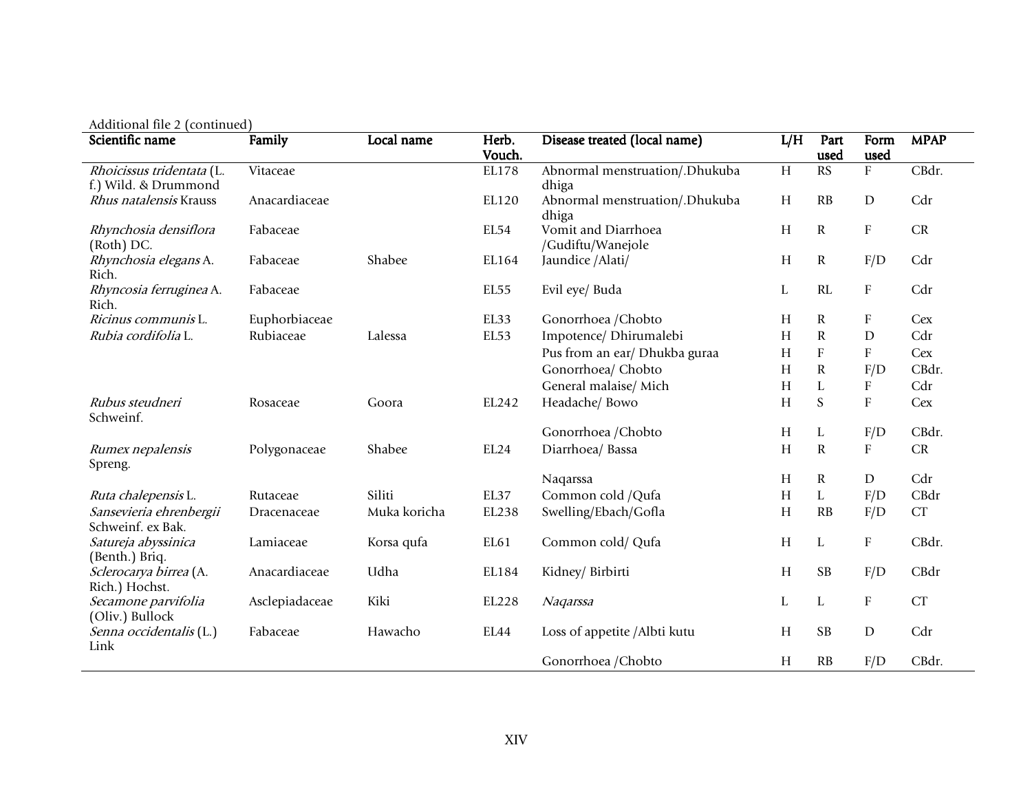| Additional file 2 (continued)                     |                |              |                 |                                          |     |                           |                           |                    |
|---------------------------------------------------|----------------|--------------|-----------------|------------------------------------------|-----|---------------------------|---------------------------|--------------------|
| Scientific name                                   | Family         | Local name   | Herb.<br>Vouch. | Disease treated (local name)             | L/H | Part<br>used              | Form<br>used              | <b>MPAP</b>        |
| Rhoicissus tridentata (L.<br>f.) Wild. & Drummond | Vitaceae       |              | EL178           | Abnormal menstruation/.Dhukuba<br>dhiga  | H   | RS                        | $\mathbf{F}$              | CBdr.              |
| Rhus natalensis Krauss                            | Anacardiaceae  |              | EL120           | Abnormal menstruation/.Dhukuba<br>dhiga  | H   | RB                        | ${\rm D}$                 | Cdr                |
| Rhynchosia densiflora<br>(Roth) DC.               | Fabaceae       |              | EL54            | Vomit and Diarrhoea<br>/Gudiftu/Wanejole | H   | $\mathbf R$               | ${\bf F}$                 | ${\cal CR}$        |
| Rhynchosia elegans A.<br>Rich.                    | Fabaceae       | Shabee       | EL164           | Jaundice /Alati/                         | H   | $\mathbf R$               | F/D                       | Cdr                |
| Rhyncosia ferruginea A.<br>Rich.                  | Fabaceae       |              | EL55            | Evil eye/ Buda                           | L   | RL                        | ${\bf F}$                 | Cdr                |
| Ricinus communis L.                               | Euphorbiaceae  |              | EL33            | Gonorrhoea / Chobto                      | H   | R                         | F                         | Cex                |
| Rubia cordifolia L.                               | Rubiaceae      | Lalessa      | EL53            | Impotence/ Dhirumalebi                   | H   | $\mathbf R$               | D                         | Cdr                |
|                                                   |                |              |                 | Pus from an ear/ Dhukba guraa            | H   | $\boldsymbol{\mathrm{F}}$ | $\boldsymbol{\mathrm{F}}$ | Cex                |
|                                                   |                |              |                 | Gonorrhoea/ Chobto                       | H   | $\mathbf R$               | F/D                       | CBdr.              |
|                                                   |                |              |                 | General malaise/ Mich                    | H   | L                         | $\boldsymbol{\mathrm{F}}$ | Cdr                |
| Rubus steudneri<br>Schweinf.                      | Rosaceae       | Goora        | EL242           | Headache/ Bowo                           | H   | S                         | ${\bf F}$                 | Cex                |
|                                                   |                |              |                 | Gonorrhoea / Chobto                      | H   | L                         | F/D                       | CBdr.              |
| Rumex nepalensis<br>Spreng.                       | Polygonaceae   | Shabee       | EL24            | Diarrhoea/ Bassa                         | H   | $\mathbf R$               | $\boldsymbol{\mathrm{F}}$ | ${\cal CR}$        |
|                                                   |                |              |                 | Naqarssa                                 | H   | $\mathbf R$               | ${\rm D}$                 | Cdr                |
| Ruta chalepensis L.                               | Rutaceae       | Siliti       | EL37            | Common cold / Qufa                       | H   | $\mathbf{L}$              | F/D                       | CBdr               |
| Sansevieria ehrenbergii<br>Schweinf. ex Bak.      | Dracenaceae    | Muka koricha | EL238           | Swelling/Ebach/Gofla                     | H   | RB                        | F/D                       | ${\cal C}{\cal T}$ |
| Satureja abyssinica<br>(Benth.) Briq.             | Lamiaceae      | Korsa qufa   | EL61            | Common cold/ Qufa                        | H   | L                         | F                         | CBdr.              |
| Sclerocarya birrea (A.<br>Rich.) Hochst.          | Anacardiaceae  | Udha         | EL184           | Kidney/ Birbirti                         | H   | <b>SB</b>                 | F/D                       | CBdr               |
| Secamone parvifolia<br>(Oliv.) Bullock            | Asclepiadaceae | Kiki         | EL228           | Nagarssa                                 | L   | L                         | $\boldsymbol{\mathrm{F}}$ | CT                 |
| Senna occidentalis (L.)<br>Link                   | Fabaceae       | Hawacho      | EL44            | Loss of appetite /Albti kutu             | H   | <b>SB</b>                 | ${\rm D}$                 | Cdr                |
|                                                   |                |              |                 | Gonorrhoea / Chobto                      | H   | RB                        | F/D                       | CBdr.              |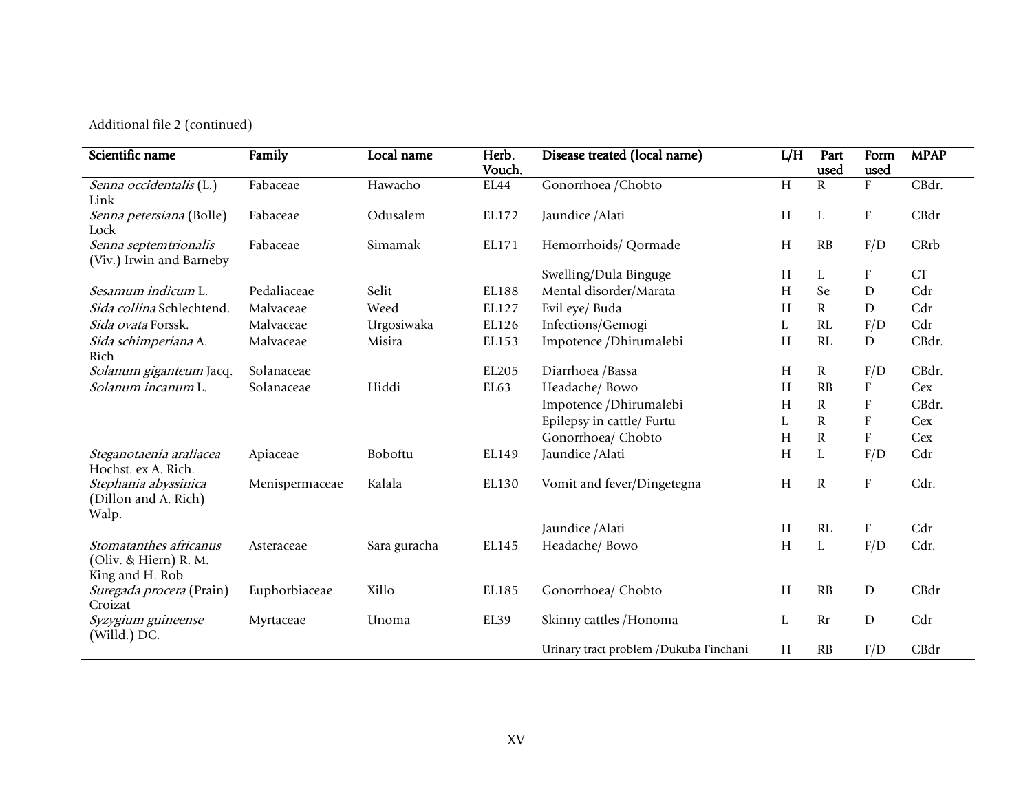Additional file 2 (continued)

| Scientific name                                                    | Family         | Local name   | Herb.<br>Vouch. | Disease treated (local name)           | L/H            | Part<br>used | Form<br>used              | <b>MPAP</b> |
|--------------------------------------------------------------------|----------------|--------------|-----------------|----------------------------------------|----------------|--------------|---------------------------|-------------|
| Senna occidentalis (L.)<br>Link                                    | Fabaceae       | Hawacho      | EL44            | Gonorrhoea / Chobto                    | $\overline{H}$ | $\mathbf R$  | ${\rm F}$                 | CBdr.       |
| Senna petersiana (Bolle)<br>Lock                                   | Fabaceae       | Odusalem     | EL172           | Jaundice / Alati                       | H              | L            | F                         | CBdr        |
| Senna septemtrionalis<br>(Viv.) Irwin and Barneby                  | Fabaceae       | Simamak      | EL171           | Hemorrhoids/ Qormade                   | H              | RB           | F/D                       | CRrb        |
|                                                                    |                |              |                 | Swelling/Dula Binguge                  | H              | L            | $\boldsymbol{\mathrm{F}}$ | CT          |
| <i>Sesamum indicum</i> L.                                          | Pedaliaceae    | Selit        | EL188           | Mental disorder/Marata                 | H              | Se           | $\mathbf D$               | Cdr         |
| Sida collina Schlechtend.                                          | Malvaceae      | Weed         | EL127           | Evil eye/ Buda                         | H              | $\mathbf R$  | ${\rm D}$                 | Cdr         |
| Sida ovata Forssk.                                                 | Malvaceae      | Urgosiwaka   | EL126           | Infections/Gemogi                      | L              | RL           | F/D                       | Cdr         |
| Sida schimperiana A.<br>Rich                                       | Malvaceae      | Misira       | EL153           | Impotence /Dhirumalebi                 | H              | RL           | ${\rm D}$                 | CBdr.       |
| Solanum giganteum Jacq.                                            | Solanaceae     |              | EL205           | Diarrhoea /Bassa                       | H              | R            | F/D                       | CBdr.       |
| Solanum incanum L.                                                 | Solanaceae     | Hiddi        | EL63            | Headache/ Bowo                         | H              | RB           | $\boldsymbol{\mathrm{F}}$ | Cex         |
|                                                                    |                |              |                 | Impotence /Dhirumalebi                 | H              | R            | $\boldsymbol{\mathrm{F}}$ | CBdr.       |
|                                                                    |                |              |                 | Epilepsy in cattle/ Furtu              | L              | $\mathbf R$  | ${\bf F}$                 | Cex         |
|                                                                    |                |              |                 | Gonorrhoea/ Chobto                     | H              | $\mathbf R$  | $\boldsymbol{\mathrm{F}}$ | Cex         |
| Steganotaenia araliacea<br>Hochst. ex A. Rich.                     | Apiaceae       | Boboftu      | EL149           | Jaundice / Alati                       | H              | L            | F/D                       | Cdr         |
| Stephania abyssinica<br>(Dillon and A. Rich)<br>Walp.              | Menispermaceae | Kalala       | EL130           | Vomit and fever/Dingetegna             | H              | $\mathbf R$  | F                         | Cdr.        |
|                                                                    |                |              |                 | Jaundice / Alati                       | H              | RL           | $\boldsymbol{\mathrm{F}}$ | Cdr         |
| Stomatanthes africanus<br>(Oliv. & Hiern) R. M.<br>King and H. Rob | Asteraceae     | Sara guracha | EL145           | Headache/ Bowo                         | H              | L            | F/D                       | Cdr.        |
| Suregada procera (Prain)<br>Croizat                                | Euphorbiaceae  | Xillo        | EL185           | Gonorrhoea/ Chobto                     | H              | RB           | ${\rm D}$                 | CBdr        |
| Syzygium guineense<br>(Willd.) DC.                                 | Myrtaceae      | Unoma        | EL39            | Skinny cattles / Honoma                | L              | <b>Rr</b>    | ${\rm D}$                 | Cdr         |
|                                                                    |                |              |                 | Urinary tract problem /Dukuba Finchani | H              | RB           | F/D                       | CBdr        |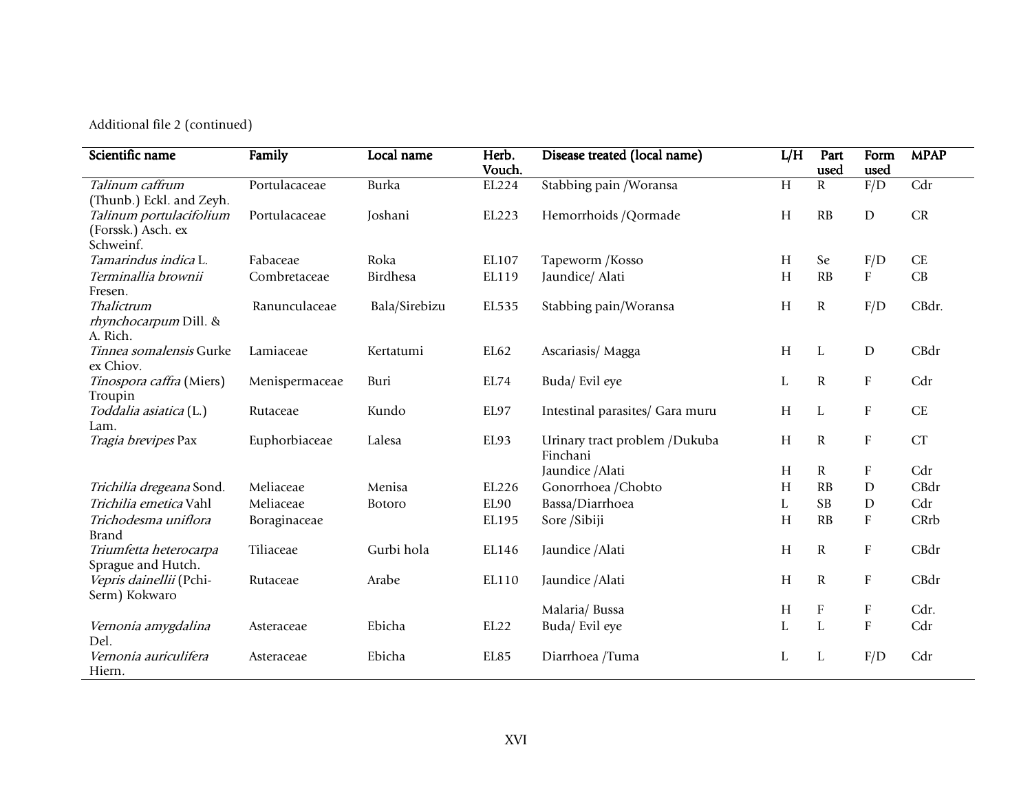Additional file 2 (continued)

| Scientific name                                            | Family         | Local name    | Herb.<br>Vouch. | Disease treated (local name)              | L/H | Part<br>used              | Form<br>used              | <b>MPAP</b>          |
|------------------------------------------------------------|----------------|---------------|-----------------|-------------------------------------------|-----|---------------------------|---------------------------|----------------------|
| Talinum caffrum<br>(Thunb.) Eckl. and Zeyh.                | Portulacaceae  | Burka         | EL224           | Stabbing pain / Woransa                   | H   | $\mathbf R$               | F/D                       | $\overline{Cdr}$     |
| Talinum portulacifolium<br>(Forssk.) Asch. ex<br>Schweinf. | Portulacaceae  | Joshani       | EL223           | Hemorrhoids / Qormade                     | H   | RB                        | ${\rm D}$                 | CR                   |
| Tamarindus indica L.                                       | Fabaceae       | Roka          | EL107           | Tapeworm /Kosso                           | H   | Se                        | F/D                       | $\operatorname{CE}$  |
| Terminallia brownii<br>Fresen.                             | Combretaceae   | Birdhesa      | EL119           | Jaundice/ Alati                           | H   | RB                        | ${\bf F}$                 | $\mathbf C\mathbf B$ |
| Thalictrum<br>rhynchocarpum Dill. &<br>A. Rich.            | Ranunculaceae  | Bala/Sirebizu | EL535           | Stabbing pain/Woransa                     | H   | ${\bf R}$                 | F/D                       | CBdr.                |
| Tinnea somalensis Gurke<br>ex Chiov.                       | Lamiaceae      | Kertatumi     | EL62            | Ascariasis/Magga                          | H   | L                         | $\mathbf D$               | CBdr                 |
| Tinospora caffra (Miers)<br>Troupin                        | Menispermaceae | Buri          | EL74            | Buda/Evil eye                             | L   | ${\bf R}$                 | $\mathbf F$               | Cdr                  |
| Toddalia asiatica (L.)<br>Lam.                             | Rutaceae       | Kundo         | EL97            | Intestinal parasites/ Gara muru           | H   | L                         | ${\bf F}$                 | <b>CE</b>            |
| Tragia brevipes Pax                                        | Euphorbiaceae  | Lalesa        | EL93            | Urinary tract problem /Dukuba<br>Finchani | H   | $\mathbf R$               | ${\bf F}$                 | <b>CT</b>            |
|                                                            |                |               |                 | Jaundice / Alati                          | H   | R                         | $\boldsymbol{\mathrm{F}}$ | Cdr                  |
| Trichilia dregeana Sond.                                   | Meliaceae      | Menisa        | EL226           | Gonorrhoea / Chobto                       | H   | RB                        | $\mathbf D$               | CBdr                 |
| Trichilia emetica Vahl                                     | Meliaceae      | Botoro        | EL90            | Bassa/Diarrhoea                           | L   | <b>SB</b>                 | $\mathbf D$               | Cdr                  |
| Trichodesma uniflora<br><b>Brand</b>                       | Boraginaceae   |               | EL195           | Sore /Sibiji                              | H   | RB                        | $\mathbf F$               | CRrb                 |
| Triumfetta heterocarpa<br>Sprague and Hutch.               | Tiliaceae      | Gurbi hola    | EL146           | Jaundice / Alati                          | H   | $\mathbf R$               | $\boldsymbol{\mathrm{F}}$ | CBdr                 |
| Vepris dainellii (Pchi-<br>Serm) Kokwaro                   | Rutaceae       | Arabe         | EL110           | Jaundice / Alati                          | H   | $\mathbf R$               | $\boldsymbol{\mathrm{F}}$ | CBdr                 |
|                                                            |                |               |                 | Malaria/Bussa                             | H   | $\boldsymbol{\mathrm{F}}$ | $\boldsymbol{\mathrm{F}}$ | Cdr.                 |
| Vernonia amygdalina<br>Del.                                | Asteraceae     | Ebicha        | EL22            | Buda/ Evil eye                            | L   | $\mathbf{L}$              | $\rm F$                   | Cdr                  |
| Vernonia auriculifera<br>Hiern.                            | Asteraceae     | Ebicha        | EL85            | Diarrhoea /Tuma                           | L   | L                         | F/D                       | Cdr                  |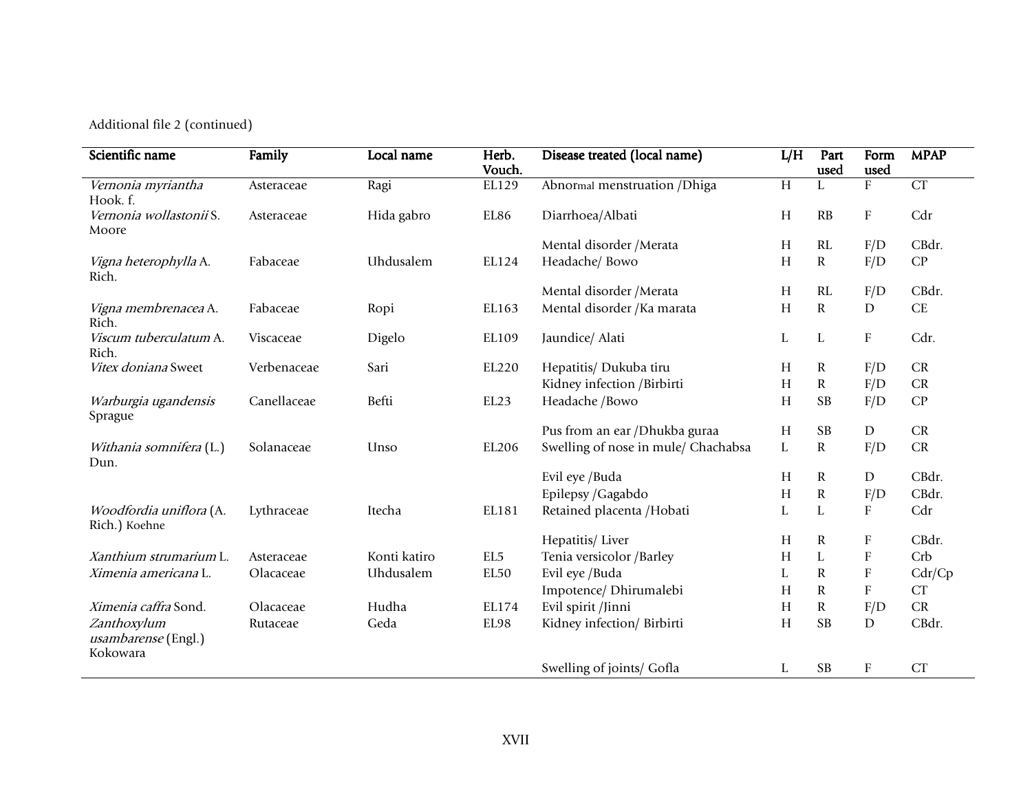Additional file 2 (continued)

| Scientific name                                | Family      | Local name   | Herb.<br>Vouch. | Disease treated (local name)        | L/H            | Part<br>used | Form<br>used              | <b>MPAP</b> |
|------------------------------------------------|-------------|--------------|-----------------|-------------------------------------|----------------|--------------|---------------------------|-------------|
| Vernonia myriantha<br>Hook. f.                 | Asteraceae  | Ragi         | EL129           | Abnormal menstruation / Dhiga       | $\overline{H}$ |              | $\overline{F}$            | CT          |
| Vernonia wollastonii S.<br>Moore               | Asteraceae  | Hida gabro   | EL86            | Diarrhoea/Albati                    | H              | RB           | ${\rm F}$                 | Cdr         |
|                                                |             |              |                 | Mental disorder / Merata            | H              | RL           | F/D                       | CBdr.       |
| Vigna heterophylla A.<br>Rich.                 | Fabaceae    | Uhdusalem    | EL124           | Headache/ Bowo                      | H              | ${\bf R}$    | F/D                       | CP          |
|                                                |             |              |                 | Mental disorder / Merata            | Н              | RL           | F/D                       | CBdr.       |
| Vigna membrenacea A.<br>Rich.                  | Fabaceae    | Ropi         | EL163           | Mental disorder / Ka marata         | H              | $\mathbf R$  | ${\rm D}$                 | $\rm CE$    |
| Viscum tuberculatum A.<br>Rich.                | Viscaceae   | Digelo       | EL109           | Jaundice/ Alati                     | L              | L            | $\rm F$                   | Cdr.        |
| Vitex doniana Sweet                            | Verbenaceae | Sari         | EL220           | Hepatitis/ Dukuba tiru              | Н              | $\mathbf R$  | F/D                       | CR          |
|                                                |             |              |                 | Kidney infection /Birbirti          | H              | ${\bf R}$    | F/D                       | CR          |
| Warburgia ugandensis<br>Sprague                | Canellaceae | Befti        | EL23            | Headache /Bowo                      | H              | <b>SB</b>    | F/D                       | CP          |
|                                                |             |              |                 | Pus from an ear /Dhukba guraa       | H              | SB           | ${\rm D}$                 | CR          |
| Withania somnifera (L.)<br>Dun.                | Solanaceae  | Unso         | EL206           | Swelling of nose in mule/ Chachabsa | L              | ${\bf R}$    | F/D                       | CR          |
|                                                |             |              |                 | Evil eye /Buda                      | H              | $\mathbf R$  | $\mathbf D$               | CBdr.       |
|                                                |             |              |                 | Epilepsy / Gagabdo                  | H              | ${\bf R}$    | F/D                       | CBdr.       |
| Woodfordia uniflora (A.<br>Rich.) Koehne       | Lythraceae  | Itecha       | EL181           | Retained placenta /Hobati           | L              | L            | F                         | Cdr         |
|                                                |             |              |                 | Hepatitis/Liver                     | H              | $\mathbf R$  | ${\rm F}$                 | CBdr.       |
| Xanthium strumarium L.                         | Asteraceae  | Konti katiro | EL <sub>5</sub> | Tenia versicolor /Barley            | H              | L            | $\boldsymbol{\mathrm{F}}$ | Crb         |
| Ximenia americana L.                           | Olacaceae   | Uhdusalem    | EL50            | Evil eye /Buda                      | L              | ${\bf R}$    | ${\bf F}$                 | Cdr/Cp      |
|                                                |             |              |                 | Impotence/ Dhirumalebi              | H              | ${\bf R}$    | ${\rm F}$                 | CT          |
| Ximenia caffra Sond.                           | Olacaceae   | Hudha        | EL174           | Evil spirit /Jinni                  | H              | R            | F/D                       | CR          |
| Zanthoxylum<br>usambarense (Engl.)<br>Kokowara | Rutaceae    | Geda         | EL98            | Kidney infection/ Birbirti          | H              | <b>SB</b>    | ${\rm D}$                 | CBdr.       |
|                                                |             |              |                 | Swelling of joints/ Gofla           | L              | <b>SB</b>    | $\rm F$                   | CT          |